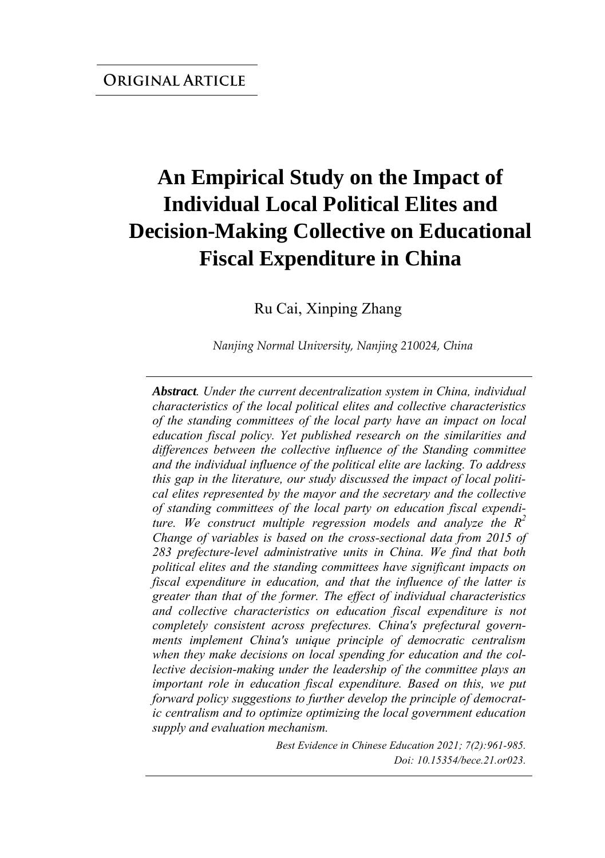# **An Empirical Study on the Impact of Individual Local Political Elites and Decision-Making Collective on Educational Fiscal Expenditure in China**

Ru Cai, Xinping Zhang

*Nanjing Normal University, Nanjing 210024, China* 

*Abstract. Under the current decentralization system in China, individual characteristics of the local political elites and collective characteristics of the standing committees of the local party have an impact on local education fiscal policy. Yet published research on the similarities and differences between the collective influence of the Standing committee and the individual influence of the political elite are lacking. To address this gap in the literature, our study discussed the impact of local political elites represented by the mayor and the secretary and the collective of standing committees of the local party on education fiscal expenditure. We construct multiple regression models and analyze the R 2 Change of variables is based on the cross-sectional data from 2015 of 283 prefecture-level administrative units in China. We find that both political elites and the standing committees have significant impacts on fiscal expenditure in education, and that the influence of the latter is greater than that of the former. The effect of individual characteristics and collective characteristics on education fiscal expenditure is not completely consistent across prefectures. China's prefectural governments implement China's unique principle of democratic centralism when they make decisions on local spending for education and the collective decision-making under the leadership of the committee plays an important role in education fiscal expenditure. Based on this, we put forward policy suggestions to further develop the principle of democratic centralism and to optimize optimizing the local government education supply and evaluation mechanism.*

> *Best Evidence in Chinese Education 2021; 7(2):961-985. Doi: 10.15354/bece.21.or023.*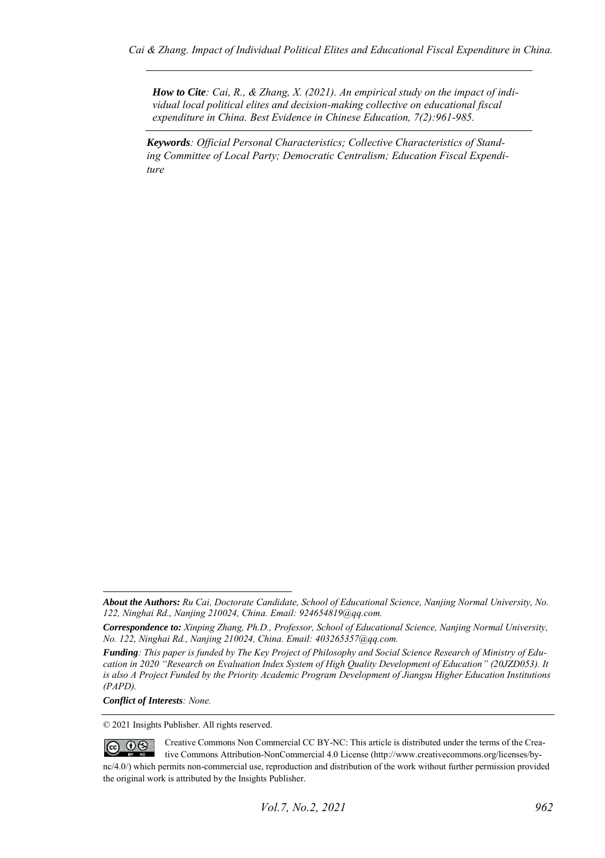*How to Cite: Cai, R., & Zhang, X. (2021). An empirical study on the impact of individual local political elites and decision-making collective on educational fiscal expenditure in China. Best Evidence in Chinese Education, 7(2):961-985.*

*Keywords: Official Personal Characteristics; Collective Characteristics of Standing Committee of Local Party; Democratic Centralism; Education Fiscal Expenditure*

*Conflict of Interests: None.* 

© 2021 Insights Publisher. All rights reserved.

Creative Commons Non Commercial CC BY-NC: This article is distributed under the terms of the Crea- $\odot$  0  $\odot$ tive Commons Attribution-NonCommercial 4.0 License (http://www.creativecommons.org/licenses/bync/4.0/) which permits non-commercial use, reproduction and distribution of the work without further permission provided the original work is attributed by the Insights Publisher.

*About the Authors: Ru Cai, Doctorate Candidate, School of Educational Science, Nanjing Normal University, No. 122, Ninghai Rd., Nanjing 210024, China. Email: 924654819@qq.com.* 

*Correspondence to: Xinping Zhang, Ph.D., Professor, School of Educational Science, Nanjing Normal University, No. 122, Ninghai Rd., Nanjing 210024, China. Email: 403265357@qq.com.* 

*Funding: This paper is funded by The Key Project of Philosophy and Social Science Research of Ministry of Education in 2020 "Research on Evaluation Index System of High Quality Development of Education" (20JZD053). It is also A Project Funded by the Priority Academic Program Development of Jiangsu Higher Education Institutions (PAPD).*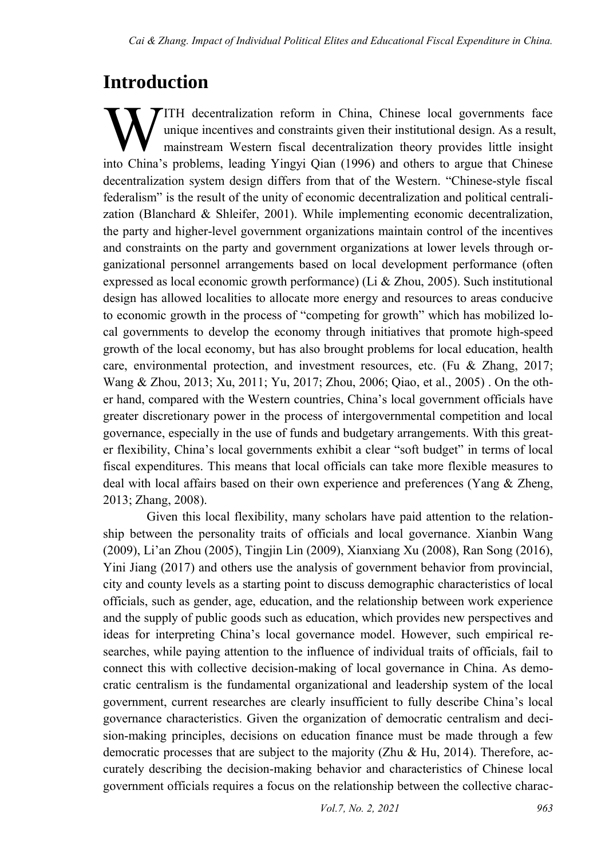## **Introduction**

ITH decentralization reform in China, Chinese local governments face unique incentives and constraints given their institutional design. As a result, mainstream Western fiscal decentralization theory provides little insight **into China's problems**, leading Yingyi Qian (1996) and others to argue that Chinese Insight into China's problems, leading Yingyi Qian (1996) and others to argue that Chinese decentralization system design differs from that of the Western. "Chinese-style fiscal federalism" is the result of the unity of economic decentralization and political centralization (Blanchard & Shleifer, 2001). While implementing economic decentralization, the party and higher-level government organizations maintain control of the incentives and constraints on the party and government organizations at lower levels through organizational personnel arrangements based on local development performance (often expressed as local economic growth performance) (Li & Zhou, 2005). Such institutional design has allowed localities to allocate more energy and resources to areas conducive to economic growth in the process of "competing for growth" which has mobilized local governments to develop the economy through initiatives that promote high-speed growth of the local economy, but has also brought problems for local education, health care, environmental protection, and investment resources, etc. (Fu & Zhang, 2017; Wang & Zhou, 2013; Xu, 2011; Yu, 2017; Zhou, 2006; Qiao, et al., 2005) . On the other hand, compared with the Western countries, China's local government officials have greater discretionary power in the process of intergovernmental competition and local governance, especially in the use of funds and budgetary arrangements. With this greater flexibility, China's local governments exhibit a clear "soft budget" in terms of local fiscal expenditures. This means that local officials can take more flexible measures to deal with local affairs based on their own experience and preferences (Yang & Zheng, 2013; Zhang, 2008).

Given this local flexibility, many scholars have paid attention to the relationship between the personality traits of officials and local governance. Xianbin Wang (2009), Li'an Zhou (2005), Tingjin Lin (2009), Xianxiang Xu (2008), Ran Song (2016), Yini Jiang (2017) and others use the analysis of government behavior from provincial, city and county levels as a starting point to discuss demographic characteristics of local officials, such as gender, age, education, and the relationship between work experience and the supply of public goods such as education, which provides new perspectives and ideas for interpreting China's local governance model. However, such empirical researches, while paying attention to the influence of individual traits of officials, fail to connect this with collective decision-making of local governance in China. As democratic centralism is the fundamental organizational and leadership system of the local government, current researches are clearly insufficient to fully describe China's local governance characteristics. Given the organization of democratic centralism and decision-making principles, decisions on education finance must be made through a few democratic processes that are subject to the majority (Zhu & Hu, 2014). Therefore, accurately describing the decision-making behavior and characteristics of Chinese local government officials requires a focus on the relationship between the collective charac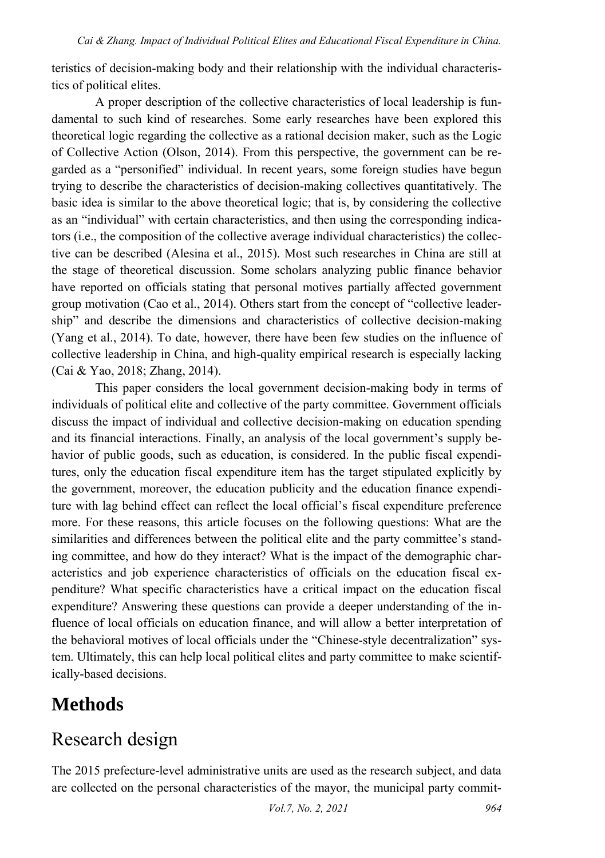teristics of decision-making body and their relationship with the individual characteristics of political elites.

A proper description of the collective characteristics of local leadership is fundamental to such kind of researches. Some early researches have been explored this theoretical logic regarding the collective as a rational decision maker, such as the Logic of Collective Action (Olson, 2014). From this perspective, the government can be regarded as a "personified" individual. In recent years, some foreign studies have begun trying to describe the characteristics of decision-making collectives quantitatively. The basic idea is similar to the above theoretical logic; that is, by considering the collective as an "individual" with certain characteristics, and then using the corresponding indicators (i.e., the composition of the collective average individual characteristics) the collective can be described (Alesina et al., 2015). Most such researches in China are still at the stage of theoretical discussion. Some scholars analyzing public finance behavior have reported on officials stating that personal motives partially affected government group motivation (Cao et al., 2014). Others start from the concept of "collective leadership" and describe the dimensions and characteristics of collective decision-making (Yang et al., 2014). To date, however, there have been few studies on the influence of collective leadership in China, and high-quality empirical research is especially lacking (Cai & Yao, 2018; Zhang, 2014).

This paper considers the local government decision-making body in terms of individuals of political elite and collective of the party committee. Government officials discuss the impact of individual and collective decision-making on education spending and its financial interactions. Finally, an analysis of the local government's supply behavior of public goods, such as education, is considered. In the public fiscal expenditures, only the education fiscal expenditure item has the target stipulated explicitly by the government, moreover, the education publicity and the education finance expenditure with lag behind effect can reflect the local official's fiscal expenditure preference more. For these reasons, this article focuses on the following questions: What are the similarities and differences between the political elite and the party committee's standing committee, and how do they interact? What is the impact of the demographic characteristics and job experience characteristics of officials on the education fiscal expenditure? What specific characteristics have a critical impact on the education fiscal expenditure? Answering these questions can provide a deeper understanding of the influence of local officials on education finance, and will allow a better interpretation of the behavioral motives of local officials under the "Chinese-style decentralization" system. Ultimately, this can help local political elites and party committee to make scientifically-based decisions.

### **Methods**

### Research design

The 2015 prefecture-level administrative units are used as the research subject, and data are collected on the personal characteristics of the mayor, the municipal party commit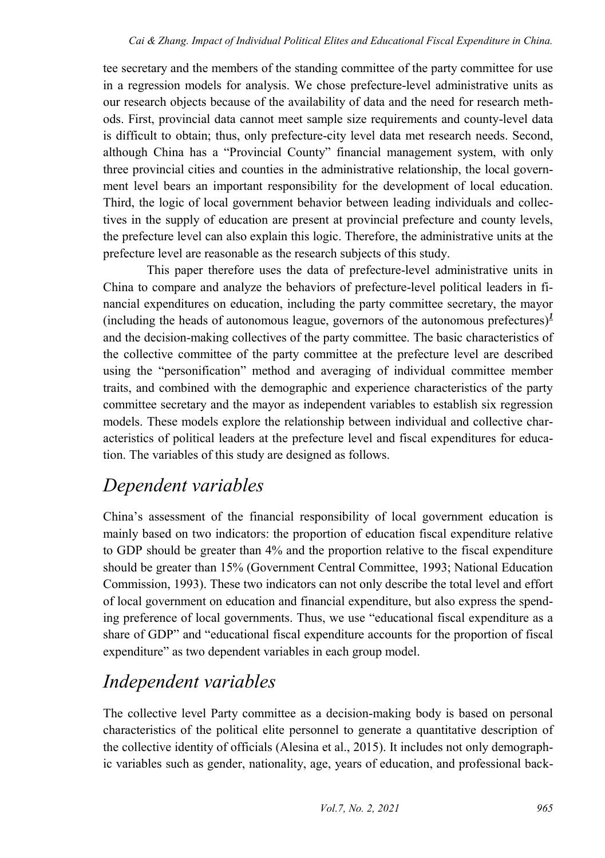tee secretary and the members of the standing committee of the party committee for use in a regression models for analysis. We chose prefecture-level administrative units as our research objects because of the availability of data and the need for research methods. First, provincial data cannot meet sample size requirements and county-level data is difficult to obtain; thus, only prefecture-city level data met research needs. Second, although China has a "Provincial County" financial management system, with only three provincial cities and counties in the administrative relationship, the local government level bears an important responsibility for the development of local education. Third, the logic of local government behavior between leading individuals and collectives in the supply of education are present at provincial prefecture and county levels, the prefecture level can also explain this logic. Therefore, the administrative units at the prefecture level are reasonable as the research subjects of this study.

This paper therefore uses the data of prefecture-level administrative units in China to compare and analyze the behaviors of prefecture-level political leaders in financial expenditures on education, including the party committee secretary, the mayor  $(including the heads of autonomous league, governors of the autonomous preferences)<sup>1</sup>$  $(including the heads of autonomous league, governors of the autonomous preferences)<sup>1</sup>$  $(including the heads of autonomous league, governors of the autonomous preferences)<sup>1</sup>$ and the decision-making collectives of the party committee. The basic characteristics of the collective committee of the party committee at the prefecture level are described using the "personification" method and averaging of individual committee member traits, and combined with the demographic and experience characteristics of the party committee secretary and the mayor as independent variables to establish six regression models. These models explore the relationship between individual and collective characteristics of political leaders at the prefecture level and fiscal expenditures for education. The variables of this study are designed as follows.

### *Dependent variables*

China's assessment of the financial responsibility of local government education is mainly based on two indicators: the proportion of education fiscal expenditure relative to GDP should be greater than 4% and the proportion relative to the fiscal expenditure should be greater than 15% (Government Central Committee, 1993; National Education Commission, 1993). These two indicators can not only describe the total level and effort of local government on education and financial expenditure, but also express the spending preference of local governments. Thus, we use "educational fiscal expenditure as a share of GDP" and "educational fiscal expenditure accounts for the proportion of fiscal expenditure" as two dependent variables in each group model.

### *Independent variables*

The collective level Party committee as a decision-making body is based on personal characteristics of the political elite personnel to generate a quantitative description of the collective identity of officials (Alesina et al., 2015). It includes not only demographic variables such as gender, nationality, age, years of education, and professional back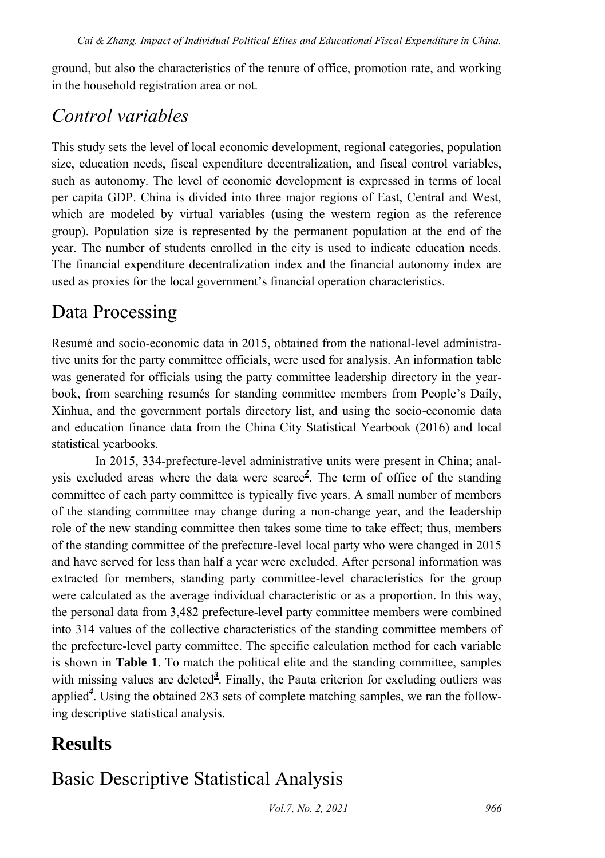ground, but also the characteristics of the tenure of office, promotion rate, and working in the household registration area or not.

### *Control variables*

This study sets the level of local economic development, regional categories, population size, education needs, fiscal expenditure decentralization, and fiscal control variables, such as autonomy. The level of economic development is expressed in terms of local per capita GDP. China is divided into three major regions of East, Central and West, which are modeled by virtual variables (using the western region as the reference group). Population size is represented by the permanent population at the end of the year. The number of students enrolled in the city is used to indicate education needs. The financial expenditure decentralization index and the financial autonomy index are used as proxies for the local government's financial operation characteristics.

### Data Processing

Resumé and socio-economic data in 2015, obtained from the national-level administrative units for the party committee officials, were used for analysis. An information table was generated for officials using the party committee leadership directory in the yearbook, from searching resumés for standing committee members from People's Daily, Xinhua, and the government portals directory list, and using the socio-economic data and education finance data from the China City Statistical Yearbook (2016) and local statistical yearbooks.

In 2015, 334-prefecture-level administrative units were present in China; analysis excluded areas where the data were scarc[e](#page-21-1)*<sup>2</sup>* . The term of office of the standing committee of each party committee is typically five years. A small number of members of the standing committee may change during a non-change year, and the leadership role of the new standing committee then takes some time to take effect; thus, members of the standing committee of the prefecture-level local party who were changed in 2015 and have served for less than half a year were excluded. After personal information was extracted for members, standing party committee-level characteristics for the group were calculated as the average individual characteristic or as a proportion. In this way, the personal data from 3,482 prefecture-level party committee members were combined into 314 values of the collective characteristics of the standing committee members of the prefecture-level party committee. The specific calculation method for each variable is shown in **Table 1**. To match the political elite and the standing committee, samples with missing values are [d](#page-21-2)eleted<sup>3</sup>. Finally, the Pauta criterion for excluding outliers was applie[d](#page-21-3)*<sup>4</sup>* . Using the obtained 283 sets of complete matching samples, we ran the following descriptive statistical analysis.

### **Results**

### Basic Descriptive Statistical Analysis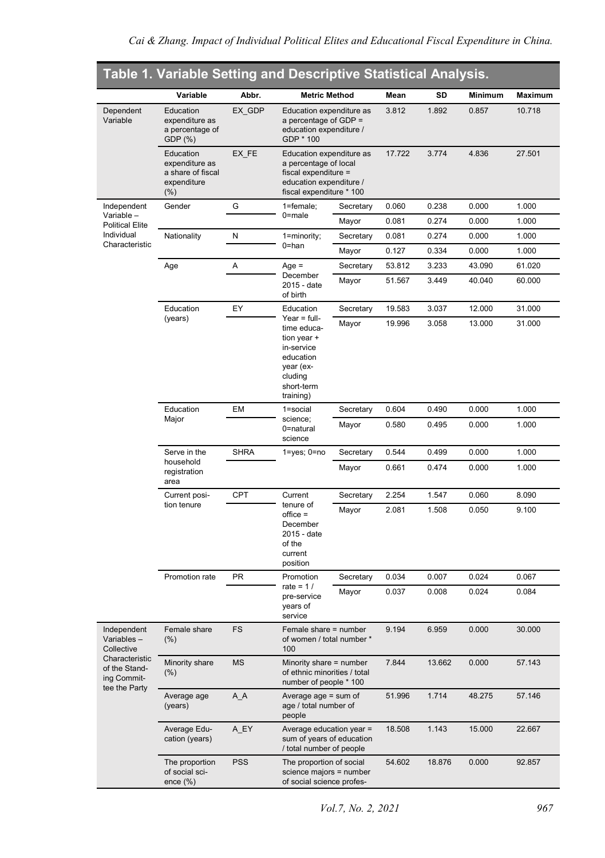|                                                                 | Table 1. Variable Setting and Descriptive Statistical Analysis.            |             |                                                                                                                                  |           |        |        |         |         |  |  |
|-----------------------------------------------------------------|----------------------------------------------------------------------------|-------------|----------------------------------------------------------------------------------------------------------------------------------|-----------|--------|--------|---------|---------|--|--|
|                                                                 | Variable                                                                   | Abbr.       | <b>Metric Method</b>                                                                                                             |           | Mean   | SD     | Minimum | Maximum |  |  |
| Dependent<br>Variable                                           | Education<br>expenditure as<br>a percentage of<br>GDP (%)                  | EX GDP      | Education expenditure as<br>a percentage of GDP =<br>education expenditure /<br>GDP * 100                                        |           | 3.812  | 1.892  | 0.857   | 10.718  |  |  |
|                                                                 | Education<br>expenditure as<br>a share of fiscal<br>expenditure<br>$(\% )$ | EX_FE       | Education expenditure as<br>a percentage of local<br>fiscal expenditure =<br>education expenditure /<br>fiscal expenditure * 100 |           | 17.722 | 3.774  | 4.836   | 27.501  |  |  |
| Independent                                                     | Gender                                                                     | G           | 1=female:                                                                                                                        | Secretary | 0.060  | 0.238  | 0.000   | 1.000   |  |  |
| Variable-<br><b>Political Elite</b>                             |                                                                            |             | $0$ =male                                                                                                                        | Mayor     | 0.081  | 0.274  | 0.000   | 1.000   |  |  |
| Individual                                                      | Nationality                                                                | N           | 1=minority;                                                                                                                      | Secretary | 0.081  | 0.274  | 0.000   | 1.000   |  |  |
| Characteristic                                                  |                                                                            |             | 0=han                                                                                                                            | Mayor     | 0.127  | 0.334  | 0.000   | 1.000   |  |  |
|                                                                 | Age                                                                        | Α           | $Age =$                                                                                                                          | Secretary | 53.812 | 3.233  | 43.090  | 61.020  |  |  |
|                                                                 |                                                                            |             | December<br>2015 - date<br>of birth                                                                                              | Mayor     | 51.567 | 3.449  | 40.040  | 60.000  |  |  |
|                                                                 | Education                                                                  | EY          | Education                                                                                                                        | Secretary | 19.583 | 3.037  | 12.000  | 31.000  |  |  |
|                                                                 | (years)                                                                    |             | Year $=$ full-<br>time educa-<br>tion year +<br>in-service<br>education<br>year (ex-<br>cluding<br>short-term<br>training)       | Mayor     | 19.996 | 3.058  | 13.000  | 31.000  |  |  |
|                                                                 | Education                                                                  | EM          | 1=social                                                                                                                         | Secretary | 0.604  | 0.490  | 0.000   | 1.000   |  |  |
|                                                                 | Major                                                                      |             | science;<br>0=natural<br>science                                                                                                 | Mayor     | 0.580  | 0.495  | 0.000   | 1.000   |  |  |
|                                                                 | Serve in the                                                               | <b>SHRA</b> | $1 = yes$ ; $0 = no$                                                                                                             | Secretary | 0.544  | 0.499  | 0.000   | 1.000   |  |  |
|                                                                 | household<br>registration<br>area                                          |             |                                                                                                                                  | Mayor     | 0.661  | 0.474  | 0.000   | 1.000   |  |  |
|                                                                 | Current posi-                                                              | <b>CPT</b>  | Current                                                                                                                          | Secretary | 2.254  | 1.547  | 0.060   | 8.090   |  |  |
|                                                                 | tion tenure                                                                |             | tenure of<br>$offset =$<br>December<br>2015 - date<br>of the<br>current<br>position                                              | Mayor     | 2.081  | 1.508  | 0.050   | 9.100   |  |  |
|                                                                 | Promotion rate                                                             | PR          | Promotion                                                                                                                        | Secretary | 0.034  | 0.007  | 0.024   | 0.067   |  |  |
|                                                                 |                                                                            |             | rate = $1/$<br>pre-service<br>years of<br>service                                                                                | Mayor     | 0.037  | 0.008  | 0.024   | 0.084   |  |  |
| Independent<br>Variables-<br>Collective                         | Female share<br>$(\% )$                                                    | FS          | Female share = number<br>of women / total number *<br>100                                                                        |           | 9.194  | 6.959  | 0.000   | 30.000  |  |  |
| Characteristic<br>of the Stand-<br>ing Commit-<br>tee the Party | Minority share<br>$(\%)$                                                   | MS          | Minority share = number<br>of ethnic minorities / total<br>number of people * 100                                                |           | 7.844  | 13.662 | 0.000   | 57.143  |  |  |
|                                                                 | Average age<br>(years)                                                     | $A_A$       | Average age = sum of<br>age / total number of<br>people                                                                          |           | 51.996 | 1.714  | 48.275  | 57.146  |  |  |
|                                                                 | Average Edu-<br>cation (years)                                             | A_EY        | Average education year =<br>sum of years of education<br>/ total number of people                                                |           | 18.508 | 1.143  | 15.000  | 22.667  |  |  |
|                                                                 | The proportion<br>of social sci-<br>ence (%)                               | <b>PSS</b>  | The proportion of social<br>science majors = number<br>of social science profes-                                                 |           | 54.602 | 18.876 | 0.000   | 92.857  |  |  |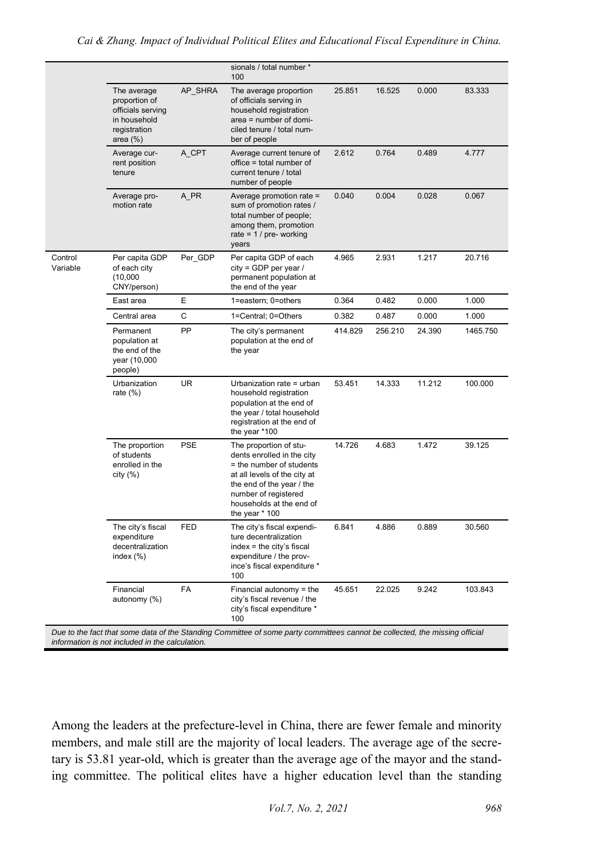|                     |                                                                                                  |            | sionals / total number *<br>100                                                                                                                                                                                       |         |         |        |          |
|---------------------|--------------------------------------------------------------------------------------------------|------------|-----------------------------------------------------------------------------------------------------------------------------------------------------------------------------------------------------------------------|---------|---------|--------|----------|
|                     | The average<br>proportion of<br>officials serving<br>in household<br>registration<br>area $(\%)$ | AP SHRA    | The average proportion<br>of officials serving in<br>household registration<br>area = number of domi-<br>ciled tenure / total num-<br>ber of people                                                                   | 25.851  | 16.525  | 0.000  | 83.333   |
|                     | Average cur-<br>rent position<br>tenure                                                          | A CPT      | Average current tenure of<br>office = total number of<br>current tenure / total<br>number of people                                                                                                                   | 2.612   | 0.764   | 0.489  | 4.777    |
|                     | Average pro-<br>motion rate                                                                      | A_PR       | Average promotion rate =<br>sum of promotion rates /<br>total number of people;<br>among them, promotion<br>rate = $1/$ pre- working<br>years                                                                         | 0.040   | 0.004   | 0.028  | 0.067    |
| Control<br>Variable | Per capita GDP<br>of each city<br>(10,000)<br>CNY/person)                                        | Per GDP    | Per capita GDP of each<br>$city = GDP$ per year /<br>permanent population at<br>the end of the year                                                                                                                   | 4.965   | 2.931   | 1.217  | 20.716   |
|                     | East area                                                                                        | E          | 1=eastern; 0=others                                                                                                                                                                                                   | 0.364   | 0.482   | 0.000  | 1.000    |
|                     | Central area                                                                                     | C          | 1=Central; 0=Others                                                                                                                                                                                                   | 0.382   | 0.487   | 0.000  | 1.000    |
|                     | Permanent<br>population at<br>the end of the<br>year (10,000<br>people)                          | PP         | The city's permanent<br>population at the end of<br>the year                                                                                                                                                          | 414.829 | 256.210 | 24.390 | 1465.750 |
|                     | Urbanization<br>rate $(\%)$                                                                      | <b>UR</b>  | Urbanization rate = urban<br>household registration<br>population at the end of<br>the year / total household<br>registration at the end of<br>the year *100                                                          | 53.451  | 14.333  | 11.212 | 100.000  |
|                     | The proportion<br>of students<br>enrolled in the<br>city (%)                                     | <b>PSE</b> | The proportion of stu-<br>dents enrolled in the city<br>= the number of students<br>at all levels of the city at<br>the end of the year / the<br>number of registered<br>households at the end of<br>the year $*$ 100 | 14.726  | 4.683   | 1.472  | 39.125   |
|                     | The city's fiscal<br>expenditure<br>decentralization<br>index $(\%)$                             | <b>FED</b> | The city's fiscal expendi-<br>ture decentralization<br>index = the city's fiscal<br>expenditure / the prov-<br>ince's fiscal expenditure *<br>100                                                                     | 6.841   | 4.886   | 0.889  | 30.560   |
|                     | Financial<br>autonomy (%)                                                                        | <b>FA</b>  | Financial autonomy $=$ the<br>city's fiscal revenue / the<br>city's fiscal expenditure *<br>100                                                                                                                       | 45.651  | 22.025  | 9.242  | 103.843  |

*information is not included in the calculation.*

Among the leaders at the prefecture-level in China, there are fewer female and minority members, and male still are the majority of local leaders. The average age of the secretary is 53.81 year-old, which is greater than the average age of the mayor and the standing committee. The political elites have a higher education level than the standing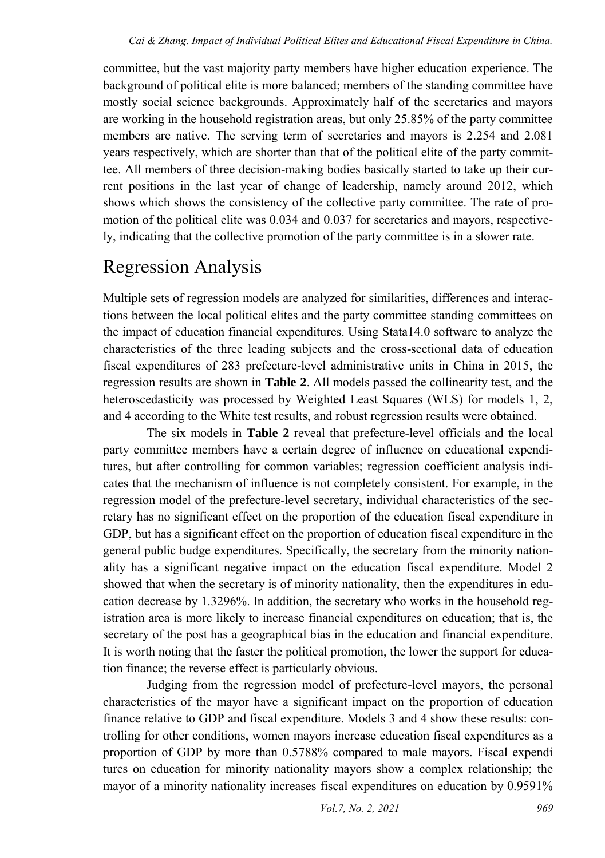committee, but the vast majority party members have higher education experience. The background of political elite is more balanced; members of the standing committee have mostly social science backgrounds. Approximately half of the secretaries and mayors are working in the household registration areas, but only 25.85% of the party committee members are native. The serving term of secretaries and mayors is 2.254 and 2.081 years respectively, which are shorter than that of the political elite of the party committee. All members of three decision-making bodies basically started to take up their current positions in the last year of change of leadership, namely around 2012, which shows which shows the consistency of the collective party committee. The rate of promotion of the political elite was 0.034 and 0.037 for secretaries and mayors, respectively, indicating that the collective promotion of the party committee is in a slower rate.

## Regression Analysis

Multiple sets of regression models are analyzed for similarities, differences and interactions between the local political elites and the party committee standing committees on the impact of education financial expenditures. Using Stata14.0 software to analyze the characteristics of the three leading subjects and the cross-sectional data of education fiscal expenditures of 283 prefecture-level administrative units in China in 2015, the regression results are shown in **Table 2**. All models passed the collinearity test, and the heteroscedasticity was processed by Weighted Least Squares (WLS) for models 1, 2, and 4 according to the White test results, and robust regression results were obtained.

The six models in **Table 2** reveal that prefecture-level officials and the local party committee members have a certain degree of influence on educational expenditures, but after controlling for common variables; regression coefficient analysis indicates that the mechanism of influence is not completely consistent. For example, in the regression model of the prefecture-level secretary, individual characteristics of the secretary has no significant effect on the proportion of the education fiscal expenditure in GDP, but has a significant effect on the proportion of education fiscal expenditure in the general public budge expenditures. Specifically, the secretary from the minority nationality has a significant negative impact on the education fiscal expenditure. Model 2 showed that when the secretary is of minority nationality, then the expenditures in education decrease by 1.3296%. In addition, the secretary who works in the household registration area is more likely to increase financial expenditures on education; that is, the secretary of the post has a geographical bias in the education and financial expenditure. It is worth noting that the faster the political promotion, the lower the support for education finance; the reverse effect is particularly obvious.

Judging from the regression model of prefecture-level mayors, the personal characteristics of the mayor have a significant impact on the proportion of education finance relative to GDP and fiscal expenditure. Models 3 and 4 show these results: controlling for other conditions, women mayors increase education fiscal expenditures as a proportion of GDP by more than 0.5788% compared to male mayors. Fiscal expendi tures on education for minority nationality mayors show a complex relationship; the mayor of a minority nationality increases fiscal expenditures on education by 0.9591%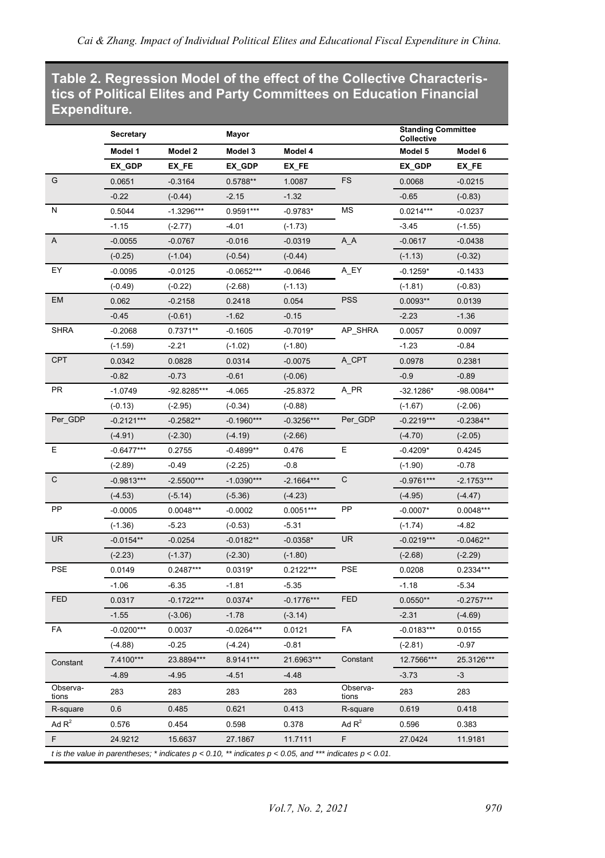#### **Table 2. Regression Model of the effect of the Collective Characteristics of Political Elites and Party Committees on Education Financial Expenditure.**

|                   | Secretary    |                                                                                                                  | Mayor        |              |                   | <b>Standing Committee</b><br>Collective |              |
|-------------------|--------------|------------------------------------------------------------------------------------------------------------------|--------------|--------------|-------------------|-----------------------------------------|--------------|
|                   | Model 1      | Model 2                                                                                                          | Model 3      | Model 4      |                   | Model 5                                 | Model 6      |
|                   | EX_GDP       | EX_FE                                                                                                            | EX_GDP       | EX_FE        |                   | EX_GDP                                  | EX_FE        |
| G                 | 0.0651       | $-0.3164$                                                                                                        | 0.5788**     | 1.0087       | <b>FS</b>         | 0.0068                                  | $-0.0215$    |
|                   | $-0.22$      | $(-0.44)$                                                                                                        | $-2.15$      | $-1.32$      |                   | $-0.65$                                 | $(-0.83)$    |
| N                 | 0.5044       | $-1.3296***$                                                                                                     | 0.9591 ***   | $-0.9783*$   | MS                | $0.0214***$                             | $-0.0237$    |
|                   | $-1.15$      | $(-2.77)$                                                                                                        | $-4.01$      | $(-1.73)$    |                   | $-3.45$                                 | $(-1.55)$    |
| Α                 | $-0.0055$    | $-0.0767$                                                                                                        | $-0.016$     | $-0.0319$    | $A_A$             | $-0.0617$                               | $-0.0438$    |
|                   | $(-0.25)$    | $(-1.04)$                                                                                                        | $(-0.54)$    | $(-0.44)$    |                   | $(-1.13)$                               | $(-0.32)$    |
| EY                | $-0.0095$    | $-0.0125$                                                                                                        | $-0.0652***$ | $-0.0646$    | A_EY              | $-0.1259*$                              | $-0.1433$    |
|                   | $(-0.49)$    | $(-0.22)$                                                                                                        | $(-2.68)$    | $(-1.13)$    |                   | $(-1.81)$                               | $(-0.83)$    |
| EM                | 0.062        | $-0.2158$                                                                                                        | 0.2418       | 0.054        | <b>PSS</b>        | 0.0093**                                | 0.0139       |
|                   | $-0.45$      | $(-0.61)$                                                                                                        | $-1.62$      | $-0.15$      |                   | $-2.23$                                 | $-1.36$      |
| <b>SHRA</b>       | $-0.2068$    | $0.7371**$                                                                                                       | $-0.1605$    | $-0.7019*$   | AP_SHRA           | 0.0057                                  | 0.0097       |
|                   | $(-1.59)$    | $-2.21$                                                                                                          | $(-1.02)$    | $(-1.80)$    |                   | $-1.23$                                 | $-0.84$      |
| <b>CPT</b>        | 0.0342       | 0.0828                                                                                                           | 0.0314       | $-0.0075$    | A_CPT             | 0.0978                                  | 0.2381       |
|                   | $-0.82$      | $-0.73$                                                                                                          | $-0.61$      | $(-0.06)$    |                   | $-0.9$                                  | $-0.89$      |
| PR                | $-1.0749$    | -92.8285***                                                                                                      | $-4.065$     | -25.8372     | A_PR              | $-32.1286*$                             | -98.0084**   |
|                   | $(-0.13)$    | $(-2.95)$                                                                                                        | $(-0.34)$    | $(-0.88)$    |                   | $(-1.67)$                               | $(-2.06)$    |
| Per_GDP           | $-0.2121***$ | $-0.2582**$                                                                                                      | $-0.1960***$ | $-0.3256***$ | Per_GDP           | $-0.2219***$                            | $-0.2384**$  |
|                   | $(-4.91)$    | $(-2.30)$                                                                                                        | $(-4.19)$    | $(-2.66)$    |                   | $(-4.70)$                               | $(-2.05)$    |
| Е                 | $-0.6477***$ | 0.2755                                                                                                           | $-0.4899**$  | 0.476        | Ε                 | $-0.4209*$                              | 0.4245       |
|                   | $(-2.89)$    | $-0.49$                                                                                                          | $(-2.25)$    | $-0.8$       |                   | $(-1.90)$                               | $-0.78$      |
| C                 | $-0.9813***$ | $-2.5500***$                                                                                                     | $-1.0390***$ | $-2.1664***$ | C                 | $-0.9761***$                            | $-2.1753***$ |
|                   | $(-4.53)$    | $(-5.14)$                                                                                                        | $(-5.36)$    | $(-4.23)$    |                   | $(-4.95)$                               | $(-4.47)$    |
| PP                | $-0.0005$    | 0.0048***                                                                                                        | $-0.0002$    | $0.0051***$  | PP                | $-0.0007*$                              | $0.0048***$  |
|                   | $(-1.36)$    | $-5.23$                                                                                                          | $(-0.53)$    | $-5.31$      |                   | $(-1.74)$                               | -4.82        |
| UR                | $-0.0154**$  | $-0.0254$                                                                                                        | $-0.0182**$  | $-0.0358*$   | UR                | $-0.0219***$                            | $-0.0462**$  |
|                   | $(-2.23)$    | $(-1.37)$                                                                                                        | $(-2.30)$    | $(-1.80)$    |                   | $(-2.68)$                               | $(-2.29)$    |
| PSE               | 0.0149       | $0.2487***$                                                                                                      | $0.0319*$    | 0.2122***    | <b>PSE</b>        | 0.0208                                  | 0.2334 ***   |
|                   | $-1.06$      | $-6.35$                                                                                                          | $-1.81$      | $-5.35$      |                   | $-1.18$                                 | $-5.34$      |
| FED               | 0.0317       | $-0.1722***$                                                                                                     | $0.0374*$    | $-0.1776***$ | <b>FED</b>        | $0.0550**$                              | $-0.2757***$ |
|                   | $-1.55$      | $(-3.06)$                                                                                                        | $-1.78$      | $(-3.14)$    |                   | $-2.31$                                 | $(-4.69)$    |
| FA                | $-0.0200***$ | 0.0037                                                                                                           | $-0.0264***$ | 0.0121       | FA                | $-0.0183***$                            | 0.0155       |
|                   | $(-4.88)$    | $-0.25$                                                                                                          | $(-4.24)$    | $-0.81$      |                   | $(-2.81)$                               | $-0.97$      |
| Constant          | 7.4100***    | 23.8894***                                                                                                       | 8.9141***    | 21.6963***   | Constant          | 12.7566***                              | 25.3126***   |
|                   | $-4.89$      | $-4.95$                                                                                                          | $-4.51$      | $-4.48$      |                   | $-3.73$                                 | -3           |
| Observa-<br>tions | 283          | 283                                                                                                              | 283          | 283          | Observa-<br>tions | 283                                     | 283          |
| R-square          | 0.6          | 0.485                                                                                                            | 0.621        | 0.413        | R-square          | 0.619                                   | 0.418        |
| Ad $R^2$          | 0.576        | 0.454                                                                                                            | 0.598        | 0.378        | Ad $R^2$          | 0.596                                   | 0.383        |
| F.                | 24.9212      | 15.6637                                                                                                          | 27.1867      | 11.7111      | F                 | 27.0424                                 | 11.9181      |
|                   |              | t is the value in parentheses; * indicates $p < 0.10$ , ** indicates $p < 0.05$ , and *** indicates $p < 0.01$ . |              |              |                   |                                         |              |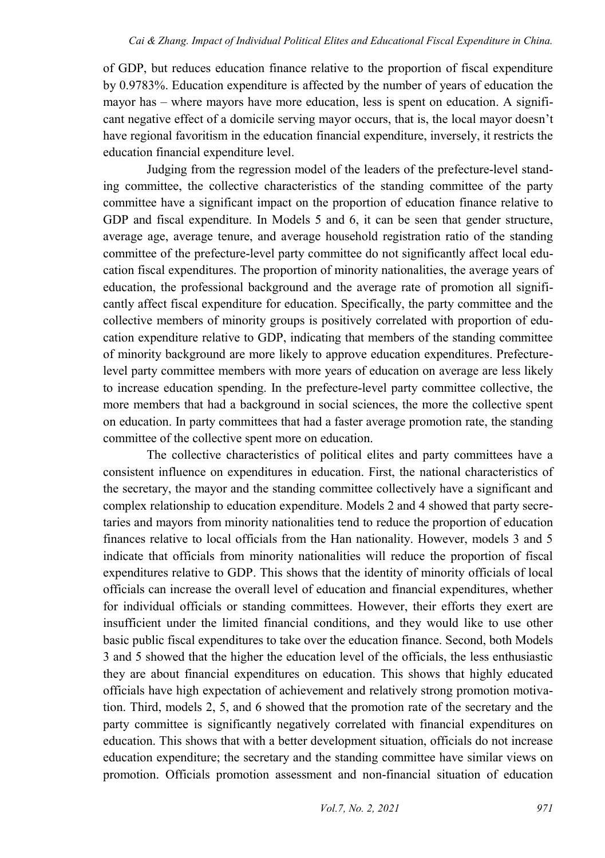of GDP, but reduces education finance relative to the proportion of fiscal expenditure by 0.9783%. Education expenditure is affected by the number of years of education the mayor has – where mayors have more education, less is spent on education. A significant negative effect of a domicile serving mayor occurs, that is, the local mayor doesn't have regional favoritism in the education financial expenditure, inversely, it restricts the education financial expenditure level.

Judging from the regression model of the leaders of the prefecture-level standing committee, the collective characteristics of the standing committee of the party committee have a significant impact on the proportion of education finance relative to GDP and fiscal expenditure. In Models 5 and 6, it can be seen that gender structure, average age, average tenure, and average household registration ratio of the standing committee of the prefecture-level party committee do not significantly affect local education fiscal expenditures. The proportion of minority nationalities, the average years of education, the professional background and the average rate of promotion all significantly affect fiscal expenditure for education. Specifically, the party committee and the collective members of minority groups is positively correlated with proportion of education expenditure relative to GDP, indicating that members of the standing committee of minority background are more likely to approve education expenditures. Prefecturelevel party committee members with more years of education on average are less likely to increase education spending. In the prefecture-level party committee collective, the more members that had a background in social sciences, the more the collective spent on education. In party committees that had a faster average promotion rate, the standing committee of the collective spent more on education.

The collective characteristics of political elites and party committees have a consistent influence on expenditures in education. First, the national characteristics of the secretary, the mayor and the standing committee collectively have a significant and complex relationship to education expenditure. Models 2 and 4 showed that party secretaries and mayors from minority nationalities tend to reduce the proportion of education finances relative to local officials from the Han nationality. However, models 3 and 5 indicate that officials from minority nationalities will reduce the proportion of fiscal expenditures relative to GDP. This shows that the identity of minority officials of local officials can increase the overall level of education and financial expenditures, whether for individual officials or standing committees. However, their efforts they exert are insufficient under the limited financial conditions, and they would like to use other basic public fiscal expenditures to take over the education finance. Second, both Models 3 and 5 showed that the higher the education level of the officials, the less enthusiastic they are about financial expenditures on education. This shows that highly educated officials have high expectation of achievement and relatively strong promotion motivation. Third, models 2, 5, and 6 showed that the promotion rate of the secretary and the party committee is significantly negatively correlated with financial expenditures on education. This shows that with a better development situation, officials do not increase education expenditure; the secretary and the standing committee have similar views on promotion. Officials promotion assessment and non-financial situation of education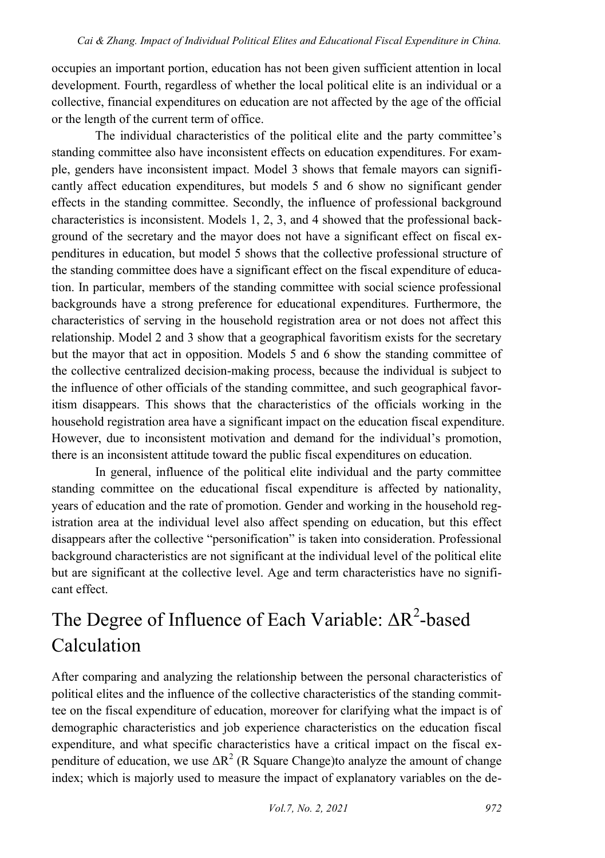occupies an important portion, education has not been given sufficient attention in local development. Fourth, regardless of whether the local political elite is an individual or a collective, financial expenditures on education are not affected by the age of the official or the length of the current term of office.

The individual characteristics of the political elite and the party committee's standing committee also have inconsistent effects on education expenditures. For example, genders have inconsistent impact. Model 3 shows that female mayors can significantly affect education expenditures, but models 5 and 6 show no significant gender effects in the standing committee. Secondly, the influence of professional background characteristics is inconsistent. Models 1, 2, 3, and 4 showed that the professional background of the secretary and the mayor does not have a significant effect on fiscal expenditures in education, but model 5 shows that the collective professional structure of the standing committee does have a significant effect on the fiscal expenditure of education. In particular, members of the standing committee with social science professional backgrounds have a strong preference for educational expenditures. Furthermore, the characteristics of serving in the household registration area or not does not affect this relationship. Model 2 and 3 show that a geographical favoritism exists for the secretary but the mayor that act in opposition. Models 5 and 6 show the standing committee of the collective centralized decision-making process, because the individual is subject to the influence of other officials of the standing committee, and such geographical favoritism disappears. This shows that the characteristics of the officials working in the household registration area have a significant impact on the education fiscal expenditure. However, due to inconsistent motivation and demand for the individual's promotion, there is an inconsistent attitude toward the public fiscal expenditures on education.

In general, influence of the political elite individual and the party committee standing committee on the educational fiscal expenditure is affected by nationality, years of education and the rate of promotion. Gender and working in the household registration area at the individual level also affect spending on education, but this effect disappears after the collective "personification" is taken into consideration. Professional background characteristics are not significant at the individual level of the political elite but are significant at the collective level. Age and term characteristics have no significant effect.

# The Degree of Influence of Each Variable:  $\Delta R^2$ -based Calculation

After comparing and analyzing the relationship between the personal characteristics of political elites and the influence of the collective characteristics of the standing committee on the fiscal expenditure of education, moreover for clarifying what the impact is of demographic characteristics and job experience characteristics on the education fiscal expenditure, and what specific characteristics have a critical impact on the fiscal expenditure of education, we use  $\Delta R^2$  (R Square Change)to analyze the amount of change index; which is majorly used to measure the impact of explanatory variables on the de-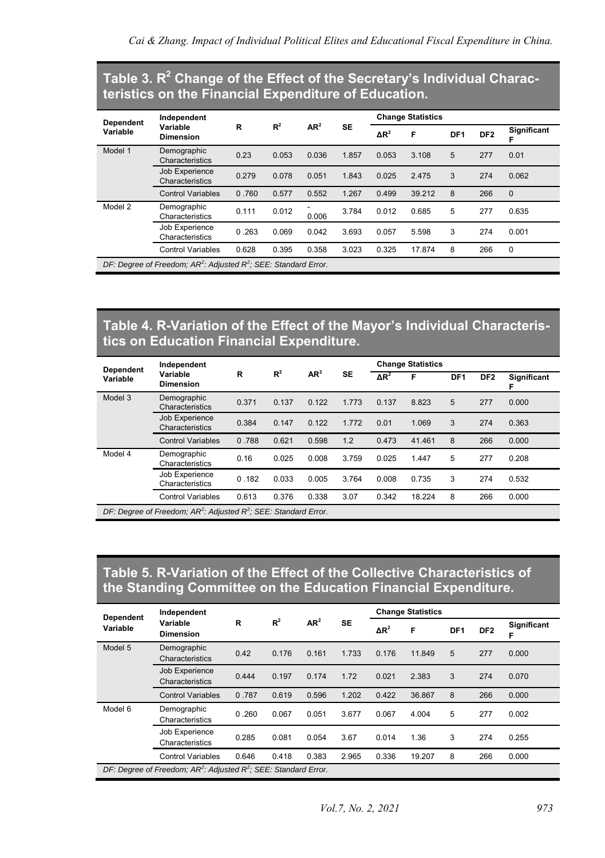### **Table 3. R<sup>2</sup> Change of the Effect of the Secretary's Individual Characteristics on the Financial Expenditure of Education.**

| <b>Dependent</b> | Independent<br>Variable                                       |       |       |                 |           |              | <b>Change Statistics</b> |                 |                 |                    |
|------------------|---------------------------------------------------------------|-------|-------|-----------------|-----------|--------------|--------------------------|-----------------|-----------------|--------------------|
| Variable         | <b>Dimension</b>                                              | R     | $R^2$ | AR <sup>2</sup> | <b>SE</b> | $\Delta R^2$ | F                        | DF <sub>1</sub> | DF <sub>2</sub> | <b>Significant</b> |
| Model 1          | Demographic<br>Characteristics                                | 0.23  | 0.053 | 0.036           | 1.857     | 0.053        | 3.108                    | 5               | 277             | 0.01               |
|                  | Job Experience<br>Characteristics                             | 0.279 | 0.078 | 0.051           | 1.843     | 0.025        | 2.475                    | 3               | 274             | 0.062              |
|                  | <b>Control Variables</b>                                      | 0.760 | 0.577 | 0.552           | 1.267     | 0.499        | 39.212                   | 8               | 266             | $\Omega$           |
| Model 2          | Demographic<br>Characteristics                                | 0.111 | 0.012 | 0.006           | 3.784     | 0.012        | 0.685                    | 5               | 277             | 0.635              |
|                  | Job Experience<br>Characteristics                             | 0.263 | 0.069 | 0.042           | 3.693     | 0.057        | 5.598                    | 3               | 274             | 0.001              |
|                  | <b>Control Variables</b>                                      | 0.628 | 0.395 | 0.358           | 3.023     | 0.325        | 17.874                   | 8               | 266             | $\mathbf 0$        |
|                  | $DE: Doarno of Eroadom: AD2: Adiubod D2: CEE: Chondord Error$ |       |       |                 |           |              |                          |                 |                 |                    |

*DF: Degree of Freedom; AR<sup>2</sup> : Adjusted R<sup>2</sup> ; SEE: Standard Error.*

#### **Table 4. R-Variation of the Effect of the Mayor's Individual Characteristics on Education Financial Expenditure.**

| <b>Dependent</b> | Independent                                                 |       |       |                 |           |              | <b>Change Statistics</b> |                 |                 |                    |
|------------------|-------------------------------------------------------------|-------|-------|-----------------|-----------|--------------|--------------------------|-----------------|-----------------|--------------------|
| Variable         | Variable<br><b>Dimension</b>                                | R     | $R^2$ | AR <sup>2</sup> | <b>SE</b> | $\Delta R^2$ | F                        | DF <sub>1</sub> | DF <sub>2</sub> | <b>Significant</b> |
| Model 3          | Demographic<br>Characteristics                              | 0.371 | 0.137 | 0.122           | 1.773     | 0.137        | 8.823                    | 5               | 277             | 0.000              |
|                  | Job Experience<br>Characteristics                           | 0.384 | 0.147 | 0.122           | 1.772     | 0.01         | 1.069                    | 3               | 274             | 0.363              |
|                  | <b>Control Variables</b>                                    | 0.788 | 0.621 | 0.598           | 1.2       | 0.473        | 41.461                   | 8               | 266             | 0.000              |
| Model 4          | Demographic<br>Characteristics                              | 0.16  | 0.025 | 0.008           | 3.759     | 0.025        | 1.447                    | 5               | 277             | 0.208              |
|                  | Job Experience<br>Characteristics                           | 0.182 | 0.033 | 0.005           | 3.764     | 0.008        | 0.735                    | 3               | 274             | 0.532              |
|                  | <b>Control Variables</b>                                    | 0.613 | 0.376 | 0.338           | 3.07      | 0.342        | 18.224                   | 8               | 266             | 0.000              |
|                  | $DF: Doare of Preadom: AP2: Adi: et P2: CEF: Chondord Even$ |       |       |                 |           |              |                          |                 |                 |                    |

*DF: Degree of Freedom; AR<sup>2</sup> : Adjusted R<sup>2</sup> ; SEE: Standard Error.*

#### **Table 5. R-Variation of the Effect of the Collective Characteristics of the Standing Committee on the Education Financial Expenditure.**

| <b>Dependent</b> | Independent                                                           |       |       |                 |           | <b>Change Statistics</b> |        |                 |                 |                         |
|------------------|-----------------------------------------------------------------------|-------|-------|-----------------|-----------|--------------------------|--------|-----------------|-----------------|-------------------------|
| Variable         | Variable<br><b>Dimension</b>                                          | R     | $R^2$ | AR <sup>2</sup> | <b>SE</b> | $\Delta R^2$             | F      | DF <sub>1</sub> | DF <sub>2</sub> | <b>Significant</b><br>F |
| Model 5          | Demographic<br>Characteristics                                        | 0.42  | 0.176 | 0.161           | 1.733     | 0.176                    | 11.849 | 5               | 277             | 0.000                   |
|                  | Job Experience<br>Characteristics                                     | 0.444 | 0.197 | 0.174           | 1.72      | 0.021                    | 2.383  | 3               | 274             | 0.070                   |
|                  | <b>Control Variables</b>                                              | 0.787 | 0.619 | 0.596           | 1.202     | 0.422                    | 36.867 | 8               | 266             | 0.000                   |
| Model 6          | Demographic<br>Characteristics                                        | 0.260 | 0.067 | 0.051           | 3.677     | 0.067                    | 4.004  | 5               | 277             | 0.002                   |
|                  | Job Experience<br>Characteristics                                     | 0.285 | 0.081 | 0.054           | 3.67      | 0.014                    | 1.36   | 3               | 274             | 0.255                   |
|                  | <b>Control Variables</b>                                              | 0.646 | 0.418 | 0.383           | 2.965     | 0.336                    | 19.207 | 8               | 266             | 0.000                   |
|                  | DF: Degree of Freedom; $AR^2$ : Adjusted $R^2$ ; SEE: Standard Error. |       |       |                 |           |                          |        |                 |                 |                         |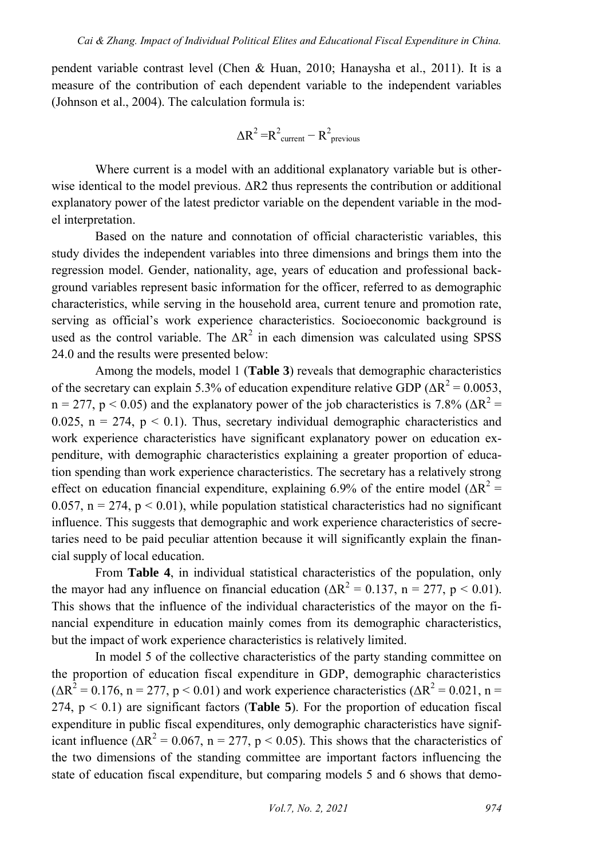pendent variable contrast level (Chen & Huan, 2010; Hanaysha et al., 2011). It is a measure of the contribution of each dependent variable to the independent variables (Johnson et al., 2004). The calculation formula is:

$$
\Delta R^2 = R^2_{\text{current}} - R^2_{\text{previous}}
$$

Where current is a model with an additional explanatory variable but is otherwise identical to the model previous. ΔR2 thus represents the contribution or additional explanatory power of the latest predictor variable on the dependent variable in the model interpretation.

Based on the nature and connotation of official characteristic variables, this study divides the independent variables into three dimensions and brings them into the regression model. Gender, nationality, age, years of education and professional background variables represent basic information for the officer, referred to as demographic characteristics, while serving in the household area, current tenure and promotion rate, serving as official's work experience characteristics. Socioeconomic background is used as the control variable. The  $\Delta R^2$  in each dimension was calculated using SPSS 24.0 and the results were presented below:

Among the models, model 1 (**Table 3**) reveals that demographic characteristics of the secretary can explain 5.3% of education expenditure relative GDP ( $\Delta R^2$  = 0.0053,  $n = 277$ ,  $p < 0.05$ ) and the explanatory power of the job characteristics is 7.8% ( $\Delta R^2$  = 0.025,  $n = 274$ ,  $p < 0.1$ ). Thus, secretary individual demographic characteristics and work experience characteristics have significant explanatory power on education expenditure, with demographic characteristics explaining a greater proportion of education spending than work experience characteristics. The secretary has a relatively strong effect on education financial expenditure, explaining 6.9% of the entire model ( $\Delta R^2$  = 0.057,  $n = 274$ ,  $p < 0.01$ ), while population statistical characteristics had no significant influence. This suggests that demographic and work experience characteristics of secretaries need to be paid peculiar attention because it will significantly explain the financial supply of local education.

From **Table 4**, in individual statistical characteristics of the population, only the mayor had any influence on financial education ( $\Delta R^2 = 0.137$ , n = 277, p < 0.01). This shows that the influence of the individual characteristics of the mayor on the financial expenditure in education mainly comes from its demographic characteristics, but the impact of work experience characteristics is relatively limited.

In model 5 of the collective characteristics of the party standing committee on the proportion of education fiscal expenditure in GDP, demographic characteristics  $(\Delta R^2 = 0.176, n = 277, p < 0.01)$  and work experience characteristics  $(\Delta R^2 = 0.021, n = 1.024)$ 274,  $p < 0.1$ ) are significant factors (**Table 5**). For the proportion of education fiscal expenditure in public fiscal expenditures, only demographic characteristics have significant influence ( $\Delta R^2 = 0.067$ , n = 277, p < 0.05). This shows that the characteristics of the two dimensions of the standing committee are important factors influencing the state of education fiscal expenditure, but comparing models 5 and 6 shows that demo-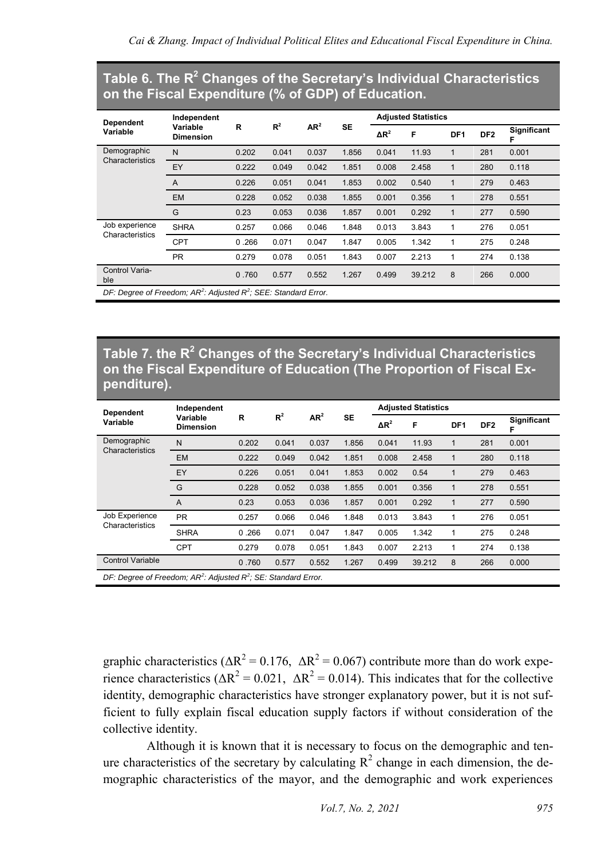#### **Table 6. The R<sup>2</sup> Changes of the Secretary's Individual Characteristics on the Fiscal Expenditure (% of GDP) of Education.**

| <b>Dependent</b>               | Independent                                                           |       |       |                 |           |              | <b>Adjusted Statistics</b> |                 |                 |             |
|--------------------------------|-----------------------------------------------------------------------|-------|-------|-----------------|-----------|--------------|----------------------------|-----------------|-----------------|-------------|
| Variable                       | Variable<br><b>Dimension</b>                                          | R     | $R^2$ | AR <sup>2</sup> | <b>SE</b> | $\Delta R^2$ | F                          | DF <sub>1</sub> | DF <sub>2</sub> | Significant |
| Demographic<br>Characteristics | N                                                                     | 0.202 | 0.041 | 0.037           | 1.856     | 0.041        | 11.93                      | 1               | 281             | 0.001       |
|                                | EY                                                                    | 0.222 | 0.049 | 0.042           | 1.851     | 0.008        | 2.458                      | 1               | 280             | 0.118       |
|                                | $\overline{A}$                                                        | 0.226 | 0.051 | 0.041           | 1.853     | 0.002        | 0.540                      | $\mathbf{1}$    | 279             | 0.463       |
|                                | <b>EM</b>                                                             | 0.228 | 0.052 | 0.038           | 1.855     | 0.001        | 0.356                      | $\mathbf{1}$    | 278             | 0.551       |
|                                | G                                                                     | 0.23  | 0.053 | 0.036           | 1.857     | 0.001        | 0.292                      | 1               | 277             | 0.590       |
| Job experience                 | <b>SHRA</b>                                                           | 0.257 | 0.066 | 0.046           | 1.848     | 0.013        | 3.843                      | 1               | 276             | 0.051       |
| Characteristics                | <b>CPT</b>                                                            | 0.266 | 0.071 | 0.047           | 1.847     | 0.005        | 1.342                      | 1               | 275             | 0.248       |
|                                | <b>PR</b>                                                             | 0.279 | 0.078 | 0.051           | 1.843     | 0.007        | 2.213                      | 1               | 274             | 0.138       |
| Control Varia-<br>ble          |                                                                       | 0.760 | 0.577 | 0.552           | 1.267     | 0.499        | 39.212                     | 8               | 266             | 0.000       |
|                                | DF: Degree of Freedom; $AR^2$ : Adjusted $R^2$ ; SEE: Standard Error. |       |       |                 |           |              |                            |                 |                 |             |

**Table 7. the R<sup>2</sup> Changes of the Secretary's Individual Characteristics on the Fiscal Expenditure of Education (The Proportion of Fiscal Expenditure).**

| <b>Dependent</b>                                                     | Independent<br>Variable |       |       |                 |           | <b>Adjusted Statistics</b> |        |                 |                 |             |  |
|----------------------------------------------------------------------|-------------------------|-------|-------|-----------------|-----------|----------------------------|--------|-----------------|-----------------|-------------|--|
| Variable                                                             | <b>Dimension</b>        | R     | $R^2$ | AR <sup>2</sup> | <b>SE</b> | $\Delta R^2$               | F      | DF <sub>1</sub> | DF <sub>2</sub> | Significant |  |
| Demographic                                                          | N                       | 0.202 | 0.041 | 0.037           | 1.856     | 0.041                      | 11.93  |                 | 281             | 0.001       |  |
| Characteristics                                                      | <b>EM</b>               | 0.222 | 0.049 | 0.042           | 1.851     | 0.008                      | 2.458  |                 | 280             | 0.118       |  |
|                                                                      | EY                      | 0.226 | 0.051 | 0.041           | 1.853     | 0.002                      | 0.54   |                 | 279             | 0.463       |  |
|                                                                      | G                       | 0.228 | 0.052 | 0.038           | 1.855     | 0.001                      | 0.356  |                 | 278             | 0.551       |  |
|                                                                      | $\overline{A}$          | 0.23  | 0.053 | 0.036           | 1.857     | 0.001                      | 0.292  |                 | 277             | 0.590       |  |
| Job Experience<br>Characteristics                                    | <b>PR</b>               | 0.257 | 0.066 | 0.046           | 1.848     | 0.013                      | 3.843  |                 | 276             | 0.051       |  |
|                                                                      | <b>SHRA</b>             | 0.266 | 0.071 | 0.047           | 1.847     | 0.005                      | 1.342  |                 | 275             | 0.248       |  |
|                                                                      | <b>CPT</b>              | 0.279 | 0.078 | 0.051           | 1.843     | 0.007                      | 2.213  |                 | 274             | 0.138       |  |
| <b>Control Variable</b>                                              |                         | 0.760 | 0.577 | 0.552           | 1.267     | 0.499                      | 39.212 | 8               | 266             | 0.000       |  |
| DF: Degree of Freedom; $AR^2$ : Adjusted $R^2$ ; SE: Standard Error. |                         |       |       |                 |           |                            |        |                 |                 |             |  |

graphic characteristics ( $\Delta R^2 = 0.176$ ,  $\Delta R^2 = 0.067$ ) contribute more than do work experience characteristics  $(\Delta R^2 = 0.021, \Delta R^2 = 0.014)$ . This indicates that for the collective identity, demographic characteristics have stronger explanatory power, but it is not sufficient to fully explain fiscal education supply factors if without consideration of the collective identity.

Although it is known that it is necessary to focus on the demographic and tenure characteristics of the secretary by calculating  $R^2$  change in each dimension, the demographic characteristics of the mayor, and the demographic and work experiences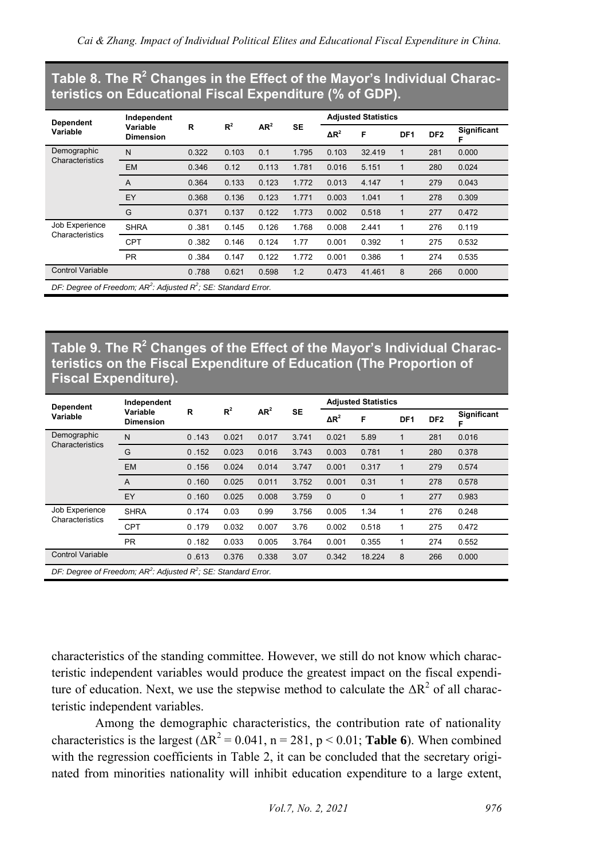#### **Table 8. The R<sup>2</sup> Changes in the Effect of the Mayor's Individual Characteristics on Educational Fiscal Expenditure (% of GDP).**

| <b>Dependent</b>                                                     | Independent                  |       |       |                 |           | <b>Adjusted Statistics</b> |        |                 |                 |             |
|----------------------------------------------------------------------|------------------------------|-------|-------|-----------------|-----------|----------------------------|--------|-----------------|-----------------|-------------|
| Variable                                                             | Variable<br><b>Dimension</b> | R     | $R^2$ | AR <sup>2</sup> | <b>SE</b> | $\Delta R^2$               | F      | DF <sub>1</sub> | DF <sub>2</sub> | Significant |
| Demographic<br>Characteristics                                       | N                            | 0.322 | 0.103 | 0.1             | 1.795     | 0.103                      | 32.419 | 1               | 281             | 0.000       |
|                                                                      | <b>EM</b>                    | 0.346 | 0.12  | 0.113           | 1.781     | 0.016                      | 5.151  | 1               | 280             | 0.024       |
|                                                                      | A                            | 0.364 | 0.133 | 0.123           | 1.772     | 0.013                      | 4.147  | 1               | 279             | 0.043       |
|                                                                      | EY                           | 0.368 | 0.136 | 0.123           | 1.771     | 0.003                      | 1.041  | $\mathbf{1}$    | 278             | 0.309       |
|                                                                      | G                            | 0.371 | 0.137 | 0.122           | 1.773     | 0.002                      | 0.518  | 1               | 277             | 0.472       |
| Job Experience<br>Characteristics                                    | <b>SHRA</b>                  | 0.381 | 0.145 | 0.126           | 1.768     | 0.008                      | 2.441  |                 | 276             | 0.119       |
|                                                                      | <b>CPT</b>                   | 0.382 | 0.146 | 0.124           | 1.77      | 0.001                      | 0.392  | 1               | 275             | 0.532       |
|                                                                      | <b>PR</b>                    | 0.384 | 0.147 | 0.122           | 1.772     | 0.001                      | 0.386  | 1               | 274             | 0.535       |
| <b>Control Variable</b>                                              |                              | 0.788 | 0.621 | 0.598           | 1.2       | 0.473                      | 41.461 | 8               | 266             | 0.000       |
| DF: Degree of Freedom; $AR^2$ : Adjusted $R^2$ ; SE: Standard Error. |                              |       |       |                 |           |                            |        |                 |                 |             |

#### **Table 9. The R<sup>2</sup> Changes of the Effect of the Mayor's Individual Characteristics on the Fiscal Expenditure of Education (The Proportion of Fiscal Expenditure).**

| Dependent                                                            | Independent<br>Variable |       |       |                 |           |              | <b>Adjusted Statistics</b> |                 |                 |                         |
|----------------------------------------------------------------------|-------------------------|-------|-------|-----------------|-----------|--------------|----------------------------|-----------------|-----------------|-------------------------|
| Variable                                                             | <b>Dimension</b>        | R     | $R^2$ | AR <sup>2</sup> | <b>SE</b> | $\Delta R^2$ | F                          | DF <sub>1</sub> | DF <sub>2</sub> | <b>Significant</b><br>F |
| Demographic<br>Characteristics                                       | N                       | 0.143 | 0.021 | 0.017           | 3.741     | 0.021        | 5.89                       |                 | 281             | 0.016                   |
|                                                                      | G                       | 0.152 | 0.023 | 0.016           | 3.743     | 0.003        | 0.781                      | $\mathbf 1$     | 280             | 0.378                   |
|                                                                      | <b>EM</b>               | 0.156 | 0.024 | 0.014           | 3.747     | 0.001        | 0.317                      | 1               | 279             | 0.574                   |
|                                                                      | A                       | 0.160 | 0.025 | 0.011           | 3.752     | 0.001        | 0.31                       |                 | 278             | 0.578                   |
|                                                                      | EY                      | 0.160 | 0.025 | 0.008           | 3.759     | $\mathbf{0}$ | $\mathbf 0$                |                 | 277             | 0.983                   |
| Job Experience<br>Characteristics                                    | <b>SHRA</b>             | 0.174 | 0.03  | 0.99            | 3.756     | 0.005        | 1.34                       |                 | 276             | 0.248                   |
|                                                                      | <b>CPT</b>              | 0.179 | 0.032 | 0.007           | 3.76      | 0.002        | 0.518                      |                 | 275             | 0.472                   |
|                                                                      | <b>PR</b>               | 0.182 | 0.033 | 0.005           | 3.764     | 0.001        | 0.355                      | 1               | 274             | 0.552                   |
| <b>Control Variable</b>                                              |                         | 0.613 | 0.376 | 0.338           | 3.07      | 0.342        | 18.224                     | 8               | 266             | 0.000                   |
| DF: Degree of Freedom; $AR^2$ : Adjusted $R^2$ ; SE: Standard Error. |                         |       |       |                 |           |              |                            |                 |                 |                         |

characteristics of the standing committee. However, we still do not know which characteristic independent variables would produce the greatest impact on the fiscal expenditure of education. Next, we use the stepwise method to calculate the  $\Delta R^2$  of all characteristic independent variables.

Among the demographic characteristics, the contribution rate of nationality characteristics is the largest ( $\Delta R^2 = 0.041$ , n = 281, p < 0.01; **Table 6**). When combined with the regression coefficients in Table 2, it can be concluded that the secretary originated from minorities nationality will inhibit education expenditure to a large extent,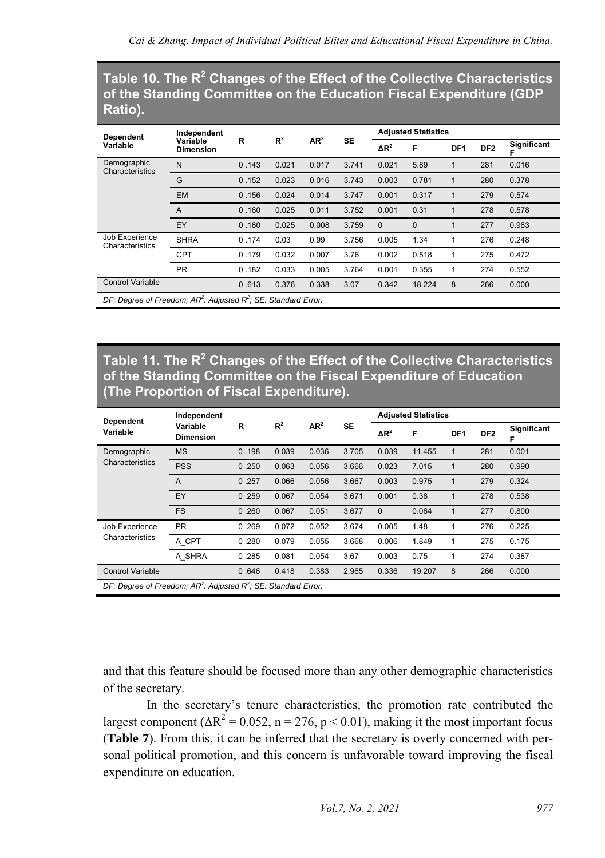#### **Table 10. The R<sup>2</sup> Changes of the Effect of the Collective Characteristics of the Standing Committee on the Education Fiscal Expenditure (GDP Ratio).**

| <b>Dependent</b>                                                     | Independent                  |       |       | AR <sup>2</sup> | <b>SE</b> |              | <b>Adjusted Statistics</b> |                 |                 |             |
|----------------------------------------------------------------------|------------------------------|-------|-------|-----------------|-----------|--------------|----------------------------|-----------------|-----------------|-------------|
| Variable                                                             | Variable<br><b>Dimension</b> | R     | $R^2$ |                 |           | $\Delta R^2$ | F                          | DF <sub>1</sub> | DF <sub>2</sub> | Significant |
| Demographic<br>Characteristics                                       | N                            | 0.143 | 0.021 | 0.017           | 3.741     | 0.021        | 5.89                       |                 | 281             | 0.016       |
|                                                                      | G                            | 0.152 | 0.023 | 0.016           | 3.743     | 0.003        | 0.781                      |                 | 280             | 0.378       |
|                                                                      | <b>EM</b>                    | 0.156 | 0.024 | 0.014           | 3.747     | 0.001        | 0.317                      |                 | 279             | 0.574       |
|                                                                      | A                            | 0.160 | 0.025 | 0.011           | 3.752     | 0.001        | 0.31                       |                 | 278             | 0.578       |
|                                                                      | EY                           | 0.160 | 0.025 | 0.008           | 3.759     | $\Omega$     | $\Omega$                   |                 | 277             | 0.983       |
| Job Experience<br>Characteristics                                    | <b>SHRA</b>                  | 0.174 | 0.03  | 0.99            | 3.756     | 0.005        | 1.34                       |                 | 276             | 0.248       |
|                                                                      | <b>CPT</b>                   | 0.179 | 0.032 | 0.007           | 3.76      | 0.002        | 0.518                      |                 | 275             | 0.472       |
|                                                                      | <b>PR</b>                    | 0.182 | 0.033 | 0.005           | 3.764     | 0.001        | 0.355                      |                 | 274             | 0.552       |
| <b>Control Variable</b>                                              |                              | 0.613 | 0.376 | 0.338           | 3.07      | 0.342        | 18.224                     | 8               | 266             | 0.000       |
| DF: Degree of Freedom: $AR^2$ : Adiusted $R^2$ : SE: Standard Error. |                              |       |       |                 |           |              |                            |                 |                 |             |

#### **Table 11. The R<sup>2</sup> Changes of the Effect of the Collective Characteristics of the Standing Committee on the Fiscal Expenditure of Education (The Proportion of Fiscal Expenditure).**

| <b>Dependent</b>                                                     | Independent                  |       |       |                 |           | <b>Adjusted Statistics</b> |        |                 |                 |                  |
|----------------------------------------------------------------------|------------------------------|-------|-------|-----------------|-----------|----------------------------|--------|-----------------|-----------------|------------------|
| Variable                                                             | Variable<br><b>Dimension</b> | R     | $R^2$ | AR <sup>2</sup> | <b>SE</b> | $\Delta R^2$               | F      | DF <sub>1</sub> | DF <sub>2</sub> | Significant<br>F |
| Demographic                                                          | <b>MS</b>                    | 0.198 | 0.039 | 0.036           | 3.705     | 0.039                      | 11.455 | 1               | 281             | 0.001            |
| Characteristics                                                      | <b>PSS</b>                   | 0.250 | 0.063 | 0.056           | 3.666     | 0.023                      | 7.015  | 1               | 280             | 0.990            |
|                                                                      | A                            | 0.257 | 0.066 | 0.056           | 3.667     | 0.003                      | 0.975  | 1               | 279             | 0.324            |
|                                                                      | EY                           | 0.259 | 0.067 | 0.054           | 3.671     | 0.001                      | 0.38   | 1               | 278             | 0.538            |
|                                                                      | <b>FS</b>                    | 0.260 | 0.067 | 0.051           | 3.677     | $\Omega$                   | 0.064  | 1               | 277             | 0.800            |
| Job Experience                                                       | <b>PR</b>                    | 0.269 | 0.072 | 0.052           | 3.674     | 0.005                      | 1.48   | 1               | 276             | 0.225            |
| Characteristics                                                      | A CPT                        | 0.280 | 0.079 | 0.055           | 3.668     | 0.006                      | 1.849  | 1               | 275             | 0.175            |
|                                                                      | A SHRA                       | 0.285 | 0.081 | 0.054           | 3.67      | 0.003                      | 0.75   | 1               | 274             | 0.387            |
| <b>Control Variable</b>                                              |                              | 0.646 | 0.418 | 0.383           | 2.965     | 0.336                      | 19.207 | 8               | 266             | 0.000            |
| DF: Degree of Freedom; $AR^2$ : Adjusted $R^2$ ; SE: Standard Error. |                              |       |       |                 |           |                            |        |                 |                 |                  |

and that this feature should be focused more than any other demographic characteristics of the secretary.

In the secretary's tenure characteristics, the promotion rate contributed the largest component ( $\Delta R^2$  = 0.052, n = 276, p < 0.01), making it the most important focus (**Table 7**). From this, it can be inferred that the secretary is overly concerned with personal political promotion, and this concern is unfavorable toward improving the fiscal expenditure on education.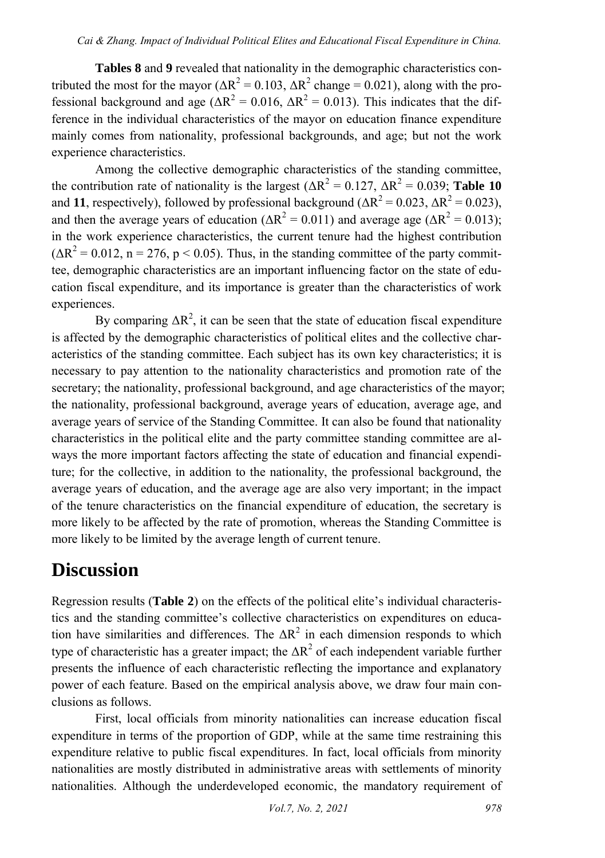**Tables 8** and **9** revealed that nationality in the demographic characteristics contributed the most for the mayor ( $\Delta R^2 = 0.103$ ,  $\Delta R^2$  change = 0.021), along with the professional background and age ( $\Delta R^2 = 0.016$ ,  $\Delta R^2 = 0.013$ ). This indicates that the difference in the individual characteristics of the mayor on education finance expenditure mainly comes from nationality, professional backgrounds, and age; but not the work experience characteristics.

Among the collective demographic characteristics of the standing committee, the contribution rate of nationality is the largest ( $\Delta R^2 = 0.127$ ,  $\Delta R^2 = 0.039$ ; **Table 10** and 11, respectively), followed by professional background  $(\Delta R^2 = 0.023, \Delta R^2 = 0.023)$ , and then the average years of education ( $\Delta R^2 = 0.011$ ) and average age ( $\Delta R^2 = 0.013$ ); in the work experience characteristics, the current tenure had the highest contribution  $(\Delta R^2 = 0.012, n = 276, p < 0.05)$ . Thus, in the standing committee of the party committee, demographic characteristics are an important influencing factor on the state of education fiscal expenditure, and its importance is greater than the characteristics of work experiences.

By comparing  $\Delta R^2$ , it can be seen that the state of education fiscal expenditure is affected by the demographic characteristics of political elites and the collective characteristics of the standing committee. Each subject has its own key characteristics; it is necessary to pay attention to the nationality characteristics and promotion rate of the secretary; the nationality, professional background, and age characteristics of the mayor; the nationality, professional background, average years of education, average age, and average years of service of the Standing Committee. It can also be found that nationality characteristics in the political elite and the party committee standing committee are always the more important factors affecting the state of education and financial expenditure; for the collective, in addition to the nationality, the professional background, the average years of education, and the average age are also very important; in the impact of the tenure characteristics on the financial expenditure of education, the secretary is more likely to be affected by the rate of promotion, whereas the Standing Committee is more likely to be limited by the average length of current tenure.

### **Discussion**

Regression results (**Table 2**) on the effects of the political elite's individual characteristics and the standing committee's collective characteristics on expenditures on education have similarities and differences. The  $\Delta R^2$  in each dimension responds to which type of characteristic has a greater impact; the  $\Delta R^2$  of each independent variable further presents the influence of each characteristic reflecting the importance and explanatory power of each feature. Based on the empirical analysis above, we draw four main conclusions as follows.

First, local officials from minority nationalities can increase education fiscal expenditure in terms of the proportion of GDP, while at the same time restraining this expenditure relative to public fiscal expenditures. In fact, local officials from minority nationalities are mostly distributed in administrative areas with settlements of minority nationalities. Although the underdeveloped economic, the mandatory requirement of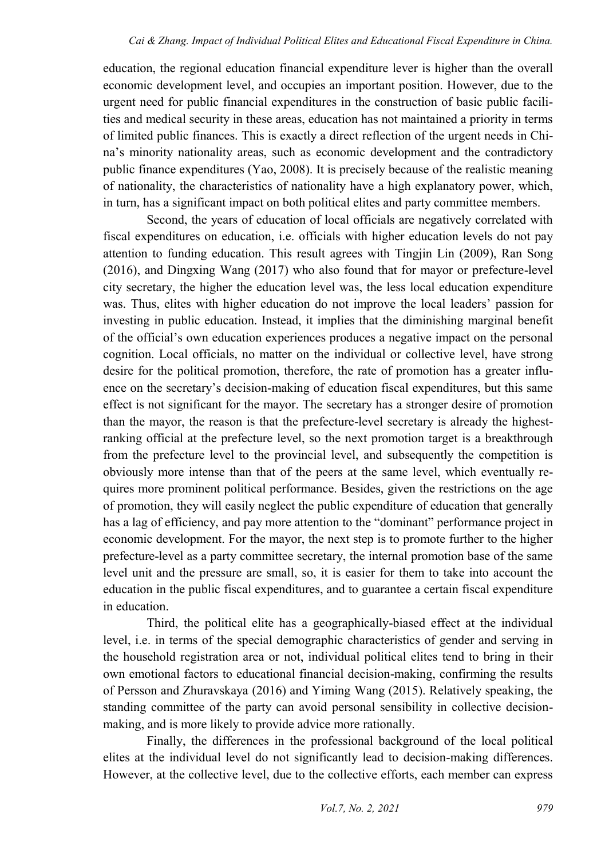education, the regional education financial expenditure lever is higher than the overall economic development level, and occupies an important position. However, due to the urgent need for public financial expenditures in the construction of basic public facilities and medical security in these areas, education has not maintained a priority in terms of limited public finances. This is exactly a direct reflection of the urgent needs in China's minority nationality areas, such as economic development and the contradictory public finance expenditures (Yao, 2008). It is precisely because of the realistic meaning of nationality, the characteristics of nationality have a high explanatory power, which, in turn, has a significant impact on both political elites and party committee members.

Second, the years of education of local officials are negatively correlated with fiscal expenditures on education, i.e. officials with higher education levels do not pay attention to funding education. This result agrees with Tingjin Lin (2009), Ran Song (2016), and Dingxing Wang (2017) who also found that for mayor or prefecture-level city secretary, the higher the education level was, the less local education expenditure was. Thus, elites with higher education do not improve the local leaders' passion for investing in public education. Instead, it implies that the diminishing marginal benefit of the official's own education experiences produces a negative impact on the personal cognition. Local officials, no matter on the individual or collective level, have strong desire for the political promotion, therefore, the rate of promotion has a greater influence on the secretary's decision-making of education fiscal expenditures, but this same effect is not significant for the mayor. The secretary has a stronger desire of promotion than the mayor, the reason is that the prefecture-level secretary is already the highestranking official at the prefecture level, so the next promotion target is a breakthrough from the prefecture level to the provincial level, and subsequently the competition is obviously more intense than that of the peers at the same level, which eventually requires more prominent political performance. Besides, given the restrictions on the age of promotion, they will easily neglect the public expenditure of education that generally has a lag of efficiency, and pay more attention to the "dominant" performance project in economic development. For the mayor, the next step is to promote further to the higher prefecture-level as a party committee secretary, the internal promotion base of the same level unit and the pressure are small, so, it is easier for them to take into account the education in the public fiscal expenditures, and to guarantee a certain fiscal expenditure in education.

Third, the political elite has a geographically-biased effect at the individual level, i.e. in terms of the special demographic characteristics of gender and serving in the household registration area or not, individual political elites tend to bring in their own emotional factors to educational financial decision-making, confirming the results of Persson and Zhuravskaya (2016) and Yiming Wang (2015). Relatively speaking, the standing committee of the party can avoid personal sensibility in collective decisionmaking, and is more likely to provide advice more rationally.

Finally, the differences in the professional background of the local political elites at the individual level do not significantly lead to decision-making differences. However, at the collective level, due to the collective efforts, each member can express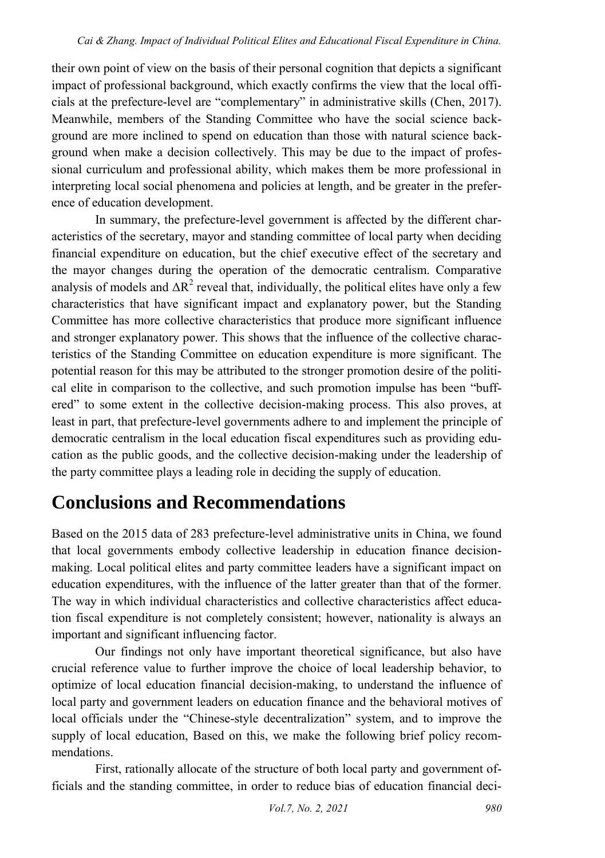their own point of view on the basis of their personal cognition that depicts a significant impact of professional background, which exactly confirms the view that the local officials at the prefecture-level are "complementary" in administrative skills (Chen, 2017). Meanwhile, members of the Standing Committee who have the social science background are more inclined to spend on education than those with natural science background when make a decision collectively. This may be due to the impact of professional curriculum and professional ability, which makes them be more professional in interpreting local social phenomena and policies at length, and be greater in the preference of education development.

In summary, the prefecture-level government is affected by the different characteristics of the secretary, mayor and standing committee of local party when deciding financial expenditure on education, but the chief executive effect of the secretary and the mayor changes during the operation of the democratic centralism. Comparative analysis of models and  $\Delta R^2$  reveal that, individually, the political elites have only a few characteristics that have significant impact and explanatory power, but the Standing Committee has more collective characteristics that produce more significant influence and stronger explanatory power. This shows that the influence of the collective characteristics of the Standing Committee on education expenditure is more significant. The potential reason for this may be attributed to the stronger promotion desire of the political elite in comparison to the collective, and such promotion impulse has been "buffered" to some extent in the collective decision-making process. This also proves, at least in part, that prefecture-level governments adhere to and implement the principle of democratic centralism in the local education fiscal expenditures such as providing education as the public goods, and the collective decision-making under the leadership of the party committee plays a leading role in deciding the supply of education.

### **Conclusions and Recommendations**

Based on the 2015 data of 283 prefecture-level administrative units in China, we found that local governments embody collective leadership in education finance decisionmaking. Local political elites and party committee leaders have a significant impact on education expenditures, with the influence of the latter greater than that of the former. The way in which individual characteristics and collective characteristics affect education fiscal expenditure is not completely consistent; however, nationality is always an important and significant influencing factor.

Our findings not only have important theoretical significance, but also have crucial reference value to further improve the choice of local leadership behavior, to optimize of local education financial decision-making, to understand the influence of local party and government leaders on education finance and the behavioral motives of local officials under the "Chinese-style decentralization" system, and to improve the supply of local education, Based on this, we make the following brief policy recommendations.

First, rationally allocate of the structure of both local party and government officials and the standing committee, in order to reduce bias of education financial deci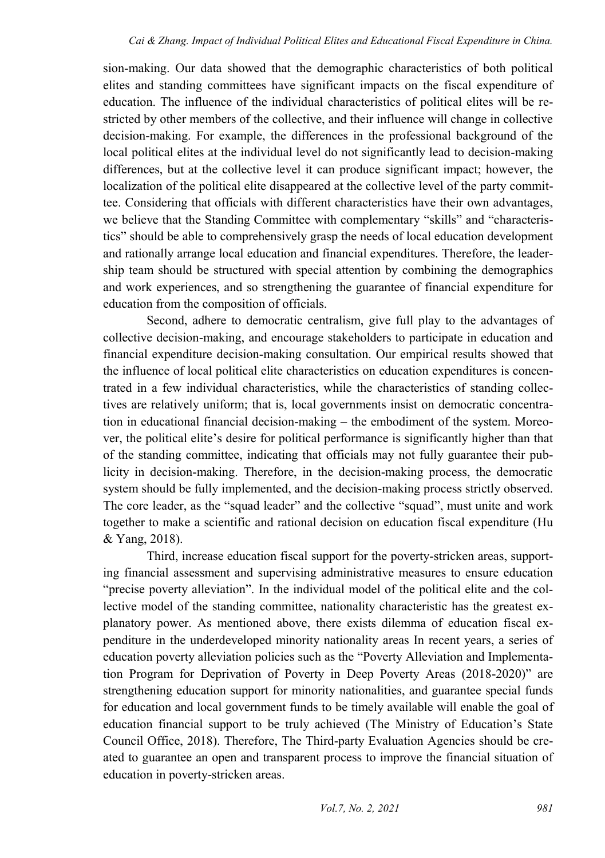sion-making. Our data showed that the demographic characteristics of both political elites and standing committees have significant impacts on the fiscal expenditure of education. The influence of the individual characteristics of political elites will be restricted by other members of the collective, and their influence will change in collective decision-making. For example, the differences in the professional background of the local political elites at the individual level do not significantly lead to decision-making differences, but at the collective level it can produce significant impact; however, the localization of the political elite disappeared at the collective level of the party committee. Considering that officials with different characteristics have their own advantages, we believe that the Standing Committee with complementary "skills" and "characteristics" should be able to comprehensively grasp the needs of local education development and rationally arrange local education and financial expenditures. Therefore, the leadership team should be structured with special attention by combining the demographics and work experiences, and so strengthening the guarantee of financial expenditure for education from the composition of officials.

Second, adhere to democratic centralism, give full play to the advantages of collective decision-making, and encourage stakeholders to participate in education and financial expenditure decision-making consultation. Our empirical results showed that the influence of local political elite characteristics on education expenditures is concentrated in a few individual characteristics, while the characteristics of standing collectives are relatively uniform; that is, local governments insist on democratic concentration in educational financial decision-making – the embodiment of the system. Moreover, the political elite's desire for political performance is significantly higher than that of the standing committee, indicating that officials may not fully guarantee their publicity in decision-making. Therefore, in the decision-making process, the democratic system should be fully implemented, and the decision-making process strictly observed. The core leader, as the "squad leader" and the collective "squad", must unite and work together to make a scientific and rational decision on education fiscal expenditure (Hu & Yang, 2018).

Third, increase education fiscal support for the poverty-stricken areas, supporting financial assessment and supervising administrative measures to ensure education "precise poverty alleviation". In the individual model of the political elite and the collective model of the standing committee, nationality characteristic has the greatest explanatory power. As mentioned above, there exists dilemma of education fiscal expenditure in the underdeveloped minority nationality areas In recent years, a series of education poverty alleviation policies such as the "Poverty Alleviation and Implementation Program for Deprivation of Poverty in Deep Poverty Areas (2018-2020)" are strengthening education support for minority nationalities, and guarantee special funds for education and local government funds to be timely available will enable the goal of education financial support to be truly achieved (The Ministry of Education's State Council Office, 2018). Therefore, The Third-party Evaluation Agencies should be created to guarantee an open and transparent process to improve the financial situation of education in poverty-stricken areas.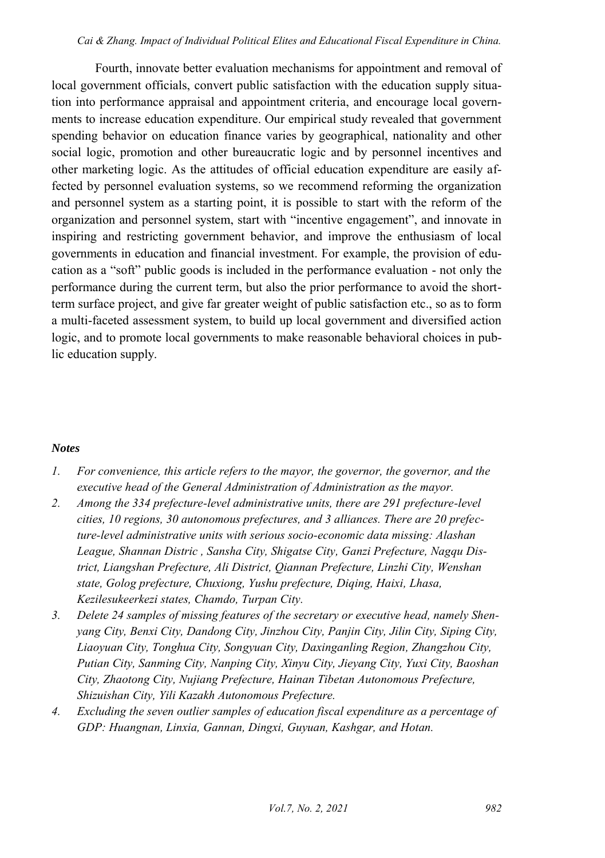#### *Cai & Zhang. Impact of Individual Political Elites and Educational Fiscal Expenditure in China.*

Fourth, innovate better evaluation mechanisms for appointment and removal of local government officials, convert public satisfaction with the education supply situation into performance appraisal and appointment criteria, and encourage local governments to increase education expenditure. Our empirical study revealed that government spending behavior on education finance varies by geographical, nationality and other social logic, promotion and other bureaucratic logic and by personnel incentives and other marketing logic. As the attitudes of official education expenditure are easily affected by personnel evaluation systems, so we recommend reforming the organization and personnel system as a starting point, it is possible to start with the reform of the organization and personnel system, start with "incentive engagement", and innovate in inspiring and restricting government behavior, and improve the enthusiasm of local governments in education and financial investment. For example, the provision of education as a "soft" public goods is included in the performance evaluation - not only the performance during the current term, but also the prior performance to avoid the shortterm surface project, and give far greater weight of public satisfaction etc., so as to form a multi-faceted assessment system, to build up local government and diversified action logic, and to promote local governments to make reasonable behavioral choices in public education supply.

#### *Notes*

- <span id="page-21-0"></span>*1. For convenience, this article refers to the mayor, the governor, the governor, and the executive head of the General Administration of Administration as the mayor.*
- <span id="page-21-1"></span>*2. Among the 334 prefecture-level administrative units, there are 291 prefecture-level cities, 10 regions, 30 autonomous prefectures, and 3 alliances. There are 20 prefecture-level administrative units with serious socio-economic data missing: Alashan League, Shannan Distric , Sansha City, Shigatse City, Ganzi Prefecture, Nagqu District, Liangshan Prefecture, Ali District, Qiannan Prefecture, Linzhi City, Wenshan state, Golog prefecture, Chuxiong, Yushu prefecture, Diqing, Haixi, Lhasa, Kezilesukeerkezi states, Chamdo, Turpan City.*
- <span id="page-21-2"></span>*3. Delete 24 samples of missing features of the secretary or executive head, namely Shenyang City, Benxi City, Dandong City, Jinzhou City, Panjin City, Jilin City, Siping City, Liaoyuan City, Tonghua City, Songyuan City, Daxinganling Region, Zhangzhou City, Putian City, Sanming City, Nanping City, Xinyu City, Jieyang City, Yuxi City, Baoshan City, Zhaotong City, Nujiang Prefecture, Hainan Tibetan Autonomous Prefecture, Shizuishan City, Yili Kazakh Autonomous Prefecture.*
- <span id="page-21-3"></span>*4. Excluding the seven outlier samples of education fiscal expenditure as a percentage of GDP: Huangnan, Linxia, Gannan, Dingxi, Guyuan, Kashgar, and Hotan.*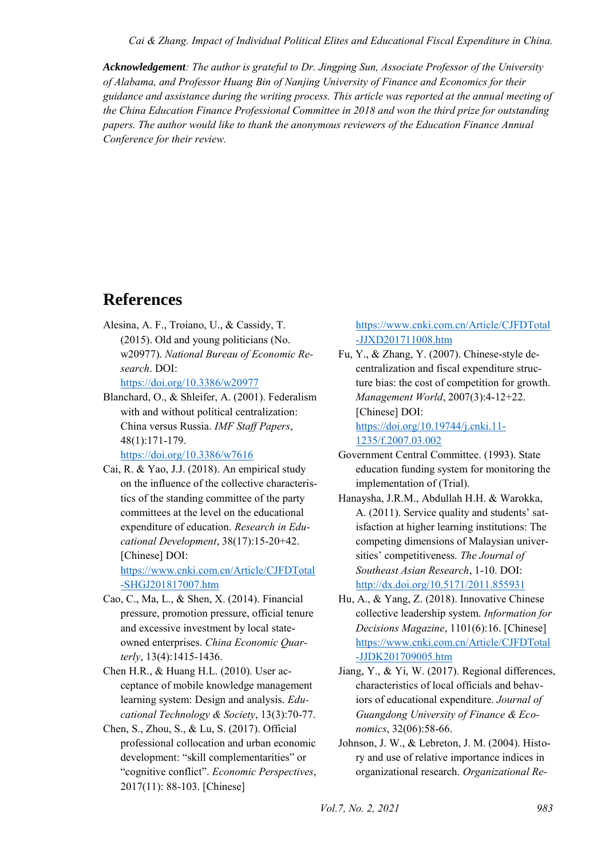*Cai & Zhang. Impact of Individual Political Elites and Educational Fiscal Expenditure in China.* 

*Acknowledgement: The author is grateful to Dr. Jingping Sun, Associate Professor of the University of Alabama, and Professor Huang Bin of Nanjing University of Finance and Economics for their guidance and assistance during the writing process. This article was reported at the annual meeting of the China Education Finance Professional Committee in 2018 and won the third prize for outstanding papers. The author would like to thank the anonymous reviewers of the Education Finance Annual Conference for their review.* 

### **References**

Alesina, A. F., Troiano, U., & Cassidy, T. (2015). Old and young politicians (No. w20977). *National Bureau of Economic Research*. DOI:

<https://doi.org/10.3386/w20977>

Blanchard, O., & Shleifer, A. (2001). Federalism with and without political centralization: China versus Russia. *IMF Staff Papers*, 48(1):171-179.

<https://doi.org/10.3386/w7616>

Cai, R. & Yao, J.J. (2018). An empirical study on the influence of the collective characteristics of the standing committee of the party committees at the level on the educational expenditure of education. *Research in Educational Development*, 38(17):15-20+42. [Chinese] DOI:

[https://www.cnki.com.cn/Article/CJFDTotal](https://www.cnki.com.cn/Article/CJFDTotal-SHGJ201817007.htm) [-SHGJ201817007.htm](https://www.cnki.com.cn/Article/CJFDTotal-SHGJ201817007.htm) 

- Cao, C., Ma, L., & Shen, X. (2014). Financial pressure, promotion pressure, official tenure and excessive investment by local stateowned enterprises. *China Economic Quarterly*, 13(4):1415-1436.
- Chen H.R., & Huang H.L. (2010). User acceptance of mobile knowledge management learning system: Design and analysis. *Educational Technology & Society*, 13(3):70-77.
- Chen, S., Zhou, S., & Lu, S. (2017). Official professional collocation and urban economic development: "skill complementarities" or "cognitive conflict". *Economic Perspectives*, 2017(11): 88-103. [Chinese]

[https://www.cnki.com.cn/Article/CJFDTotal](https://www.cnki.com.cn/Article/CJFDTotal-JJXD201711008.htm) [-JJXD201711008.htm](https://www.cnki.com.cn/Article/CJFDTotal-JJXD201711008.htm) 

Fu, Y., & Zhang, Y. (2007). Chinese-style decentralization and fiscal expenditure structure bias: the cost of competition for growth. *Management World*, 2007(3):4-12+22. [Chinese] DOI: [https://doi.org/10.19744/j.cnki.11-](https://doi.org/10.19744/j.cnki.11-1235/f.2007.03.002)

[1235/f.2007.03.002](https://doi.org/10.19744/j.cnki.11-1235/f.2007.03.002) 

- Government Central Committee. (1993). State education funding system for monitoring the implementation of (Trial).
- Hanaysha, J.R.M., Abdullah H.H. & Warokka, A. (2011). Service quality and students' satisfaction at higher learning institutions: The competing dimensions of Malaysian universities' competitiveness. *The Journal of Southeast Asian Research*, 1-10. DOI: <http://dx.doi.org/10.5171/2011.855931>
- Hu, A., & Yang, Z. (2018). Innovative Chinese collective leadership system. *Information for Decisions Magazine*, 1101(6):16. [Chinese] [https://www.cnki.com.cn/Article/CJFDTotal](https://www.cnki.com.cn/Article/CJFDTotal-JJDK201709005.htm) [-JJDK201709005.htm](https://www.cnki.com.cn/Article/CJFDTotal-JJDK201709005.htm)
- Jiang, Y., & Yi, W. (2017). Regional differences, characteristics of local officials and behaviors of educational expenditure. *Journal of Guangdong University of Finance & Economics*, 32(06):58-66.
- Johnson, J. W., & Lebreton, J. M. (2004). History and use of relative importance indices in organizational research. *Organizational Re-*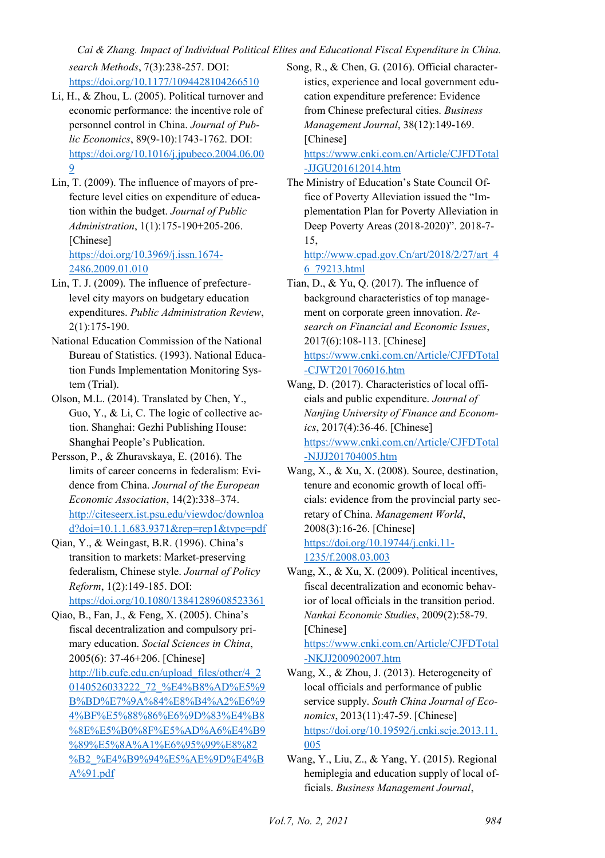*Cai & Zhang. Impact of Individual Political Elites and Educational Fiscal Expenditure in China.* 

*search Methods*, 7(3):238-257. DOI: <https://doi.org/10.1177/1094428104266510>

- Li, H., & Zhou, L. (2005). Political turnover and economic performance: the incentive role of personnel control in China. *Journal of Public Economics*, 89(9-10):1743-1762. DOI: [https://doi.org/10.1016/j.jpubeco.2004.06.00](https://doi.org/10.1016/j.jpubeco.2004.06.009) [9](https://doi.org/10.1016/j.jpubeco.2004.06.009)
- Lin, T. (2009). The influence of mayors of prefecture level cities on expenditure of education within the budget. *Journal of Public Administration*, 1(1):175-190+205-206. [Chinese] [https://doi.org/10.3969/j.issn.1674-](https://doi.org/10.3969/j.issn.1674-2486.2009.01.010) [2486.2009.01.010](https://doi.org/10.3969/j.issn.1674-2486.2009.01.010)
- Lin, T. J. (2009). The influence of prefecturelevel city mayors on budgetary education expenditures. *Public Administration Review*, 2(1):175-190.
- National Education Commission of the National Bureau of Statistics. (1993). National Education Funds Implementation Monitoring System (Trial).
- Olson, M.L. (2014). Translated by Chen, Y., Guo, Y., & Li, C. The logic of collective action. Shanghai: Gezhi Publishing House: Shanghai People's Publication.
- Persson, P., & Zhuravskaya, E. (2016). The limits of career concerns in federalism: Evidence from China. *Journal of the European Economic Association*, 14(2):338–374. [http://citeseerx.ist.psu.edu/viewdoc/downloa](http://citeseerx.ist.psu.edu/viewdoc/download?doi=10.1.1.683.9371&rep=rep1&type=pdf) [d?doi=10.1.1.683.9371&rep=rep1&type=pdf](http://citeseerx.ist.psu.edu/viewdoc/download?doi=10.1.1.683.9371&rep=rep1&type=pdf)
- Qian, Y., & Weingast, B.R. (1996). China's transition to markets: Market-preserving federalism, Chinese style. *Journal of Policy Reform*, 1(2):149-185. DOI: <https://doi.org/10.1080/13841289608523361>
- Qiao, B., Fan, J., & Feng, X. (2005). China's fiscal decentralization and compulsory primary education. *Social Sciences in China*, 2005(6): 37-46+206. [Chinese] [http://lib.cufe.edu.cn/upload\\_files/other/4\\_2](http://lib.cufe.edu.cn/upload_files/other/4_20140526033222_72_%E4%B8%AD%E5%9B%BD%E7%9A%84%E8%B4%A2%E6%94%BF%E5%88%86%E6%9D%83%E4%B8%8E%E5%B0%8F%E5%AD%A6%E4%B9%89%E5%8A%A1%E6%95%99%E8%82%B2_%E4%B9%94%E5%AE%9D%E4%BA%91.pdf) [0140526033222\\_72\\_%E4%B8%AD%E5%9](http://lib.cufe.edu.cn/upload_files/other/4_20140526033222_72_%E4%B8%AD%E5%9B%BD%E7%9A%84%E8%B4%A2%E6%94%BF%E5%88%86%E6%9D%83%E4%B8%8E%E5%B0%8F%E5%AD%A6%E4%B9%89%E5%8A%A1%E6%95%99%E8%82%B2_%E4%B9%94%E5%AE%9D%E4%BA%91.pdf) [B%BD%E7%9A%84%E8%B4%A2%E6%9](http://lib.cufe.edu.cn/upload_files/other/4_20140526033222_72_%E4%B8%AD%E5%9B%BD%E7%9A%84%E8%B4%A2%E6%94%BF%E5%88%86%E6%9D%83%E4%B8%8E%E5%B0%8F%E5%AD%A6%E4%B9%89%E5%8A%A1%E6%95%99%E8%82%B2_%E4%B9%94%E5%AE%9D%E4%BA%91.pdf) [4%BF%E5%88%86%E6%9D%83%E4%B8](http://lib.cufe.edu.cn/upload_files/other/4_20140526033222_72_%E4%B8%AD%E5%9B%BD%E7%9A%84%E8%B4%A2%E6%94%BF%E5%88%86%E6%9D%83%E4%B8%8E%E5%B0%8F%E5%AD%A6%E4%B9%89%E5%8A%A1%E6%95%99%E8%82%B2_%E4%B9%94%E5%AE%9D%E4%BA%91.pdf) [%8E%E5%B0%8F%E5%AD%A6%E4%B9](http://lib.cufe.edu.cn/upload_files/other/4_20140526033222_72_%E4%B8%AD%E5%9B%BD%E7%9A%84%E8%B4%A2%E6%94%BF%E5%88%86%E6%9D%83%E4%B8%8E%E5%B0%8F%E5%AD%A6%E4%B9%89%E5%8A%A1%E6%95%99%E8%82%B2_%E4%B9%94%E5%AE%9D%E4%BA%91.pdf) [%89%E5%8A%A1%E6%95%99%E8%82](http://lib.cufe.edu.cn/upload_files/other/4_20140526033222_72_%E4%B8%AD%E5%9B%BD%E7%9A%84%E8%B4%A2%E6%94%BF%E5%88%86%E6%9D%83%E4%B8%8E%E5%B0%8F%E5%AD%A6%E4%B9%89%E5%8A%A1%E6%95%99%E8%82%B2_%E4%B9%94%E5%AE%9D%E4%BA%91.pdf) [%B2\\_%E4%B9%94%E5%AE%9D%E4%B](http://lib.cufe.edu.cn/upload_files/other/4_20140526033222_72_%E4%B8%AD%E5%9B%BD%E7%9A%84%E8%B4%A2%E6%94%BF%E5%88%86%E6%9D%83%E4%B8%8E%E5%B0%8F%E5%AD%A6%E4%B9%89%E5%8A%A1%E6%95%99%E8%82%B2_%E4%B9%94%E5%AE%9D%E4%BA%91.pdf) [A%91.pdf](http://lib.cufe.edu.cn/upload_files/other/4_20140526033222_72_%E4%B8%AD%E5%9B%BD%E7%9A%84%E8%B4%A2%E6%94%BF%E5%88%86%E6%9D%83%E4%B8%8E%E5%B0%8F%E5%AD%A6%E4%B9%89%E5%8A%A1%E6%95%99%E8%82%B2_%E4%B9%94%E5%AE%9D%E4%BA%91.pdf)

Song, R., & Chen, G. (2016). Official characteristics, experience and local government education expenditure preference: Evidence from Chinese prefectural cities. *Business Management Journal*, 38(12):149-169. [Chinese]

[https://www.cnki.com.cn/Article/CJFDTotal](https://www.cnki.com.cn/Article/CJFDTotal-JJGU201612014.htm) [-JJGU201612014.htm](https://www.cnki.com.cn/Article/CJFDTotal-JJGU201612014.htm) 

The Ministry of Education's State Council Office of Poverty Alleviation issued the "Implementation Plan for Poverty Alleviation in Deep Poverty Areas (2018-2020)". 2018-7- 15,

[http://www.cpad.gov.Cn/art/2018/2/27/art\\_4](http://www.cpad.gov.cn/art/2018/2/27/art_46_79213.html) [6\\_79213.html](http://www.cpad.gov.cn/art/2018/2/27/art_46_79213.html) 

Tian, D., & Yu, Q. (2017). The influence of background characteristics of top management on corporate green innovation. *Research on Financial and Economic Issues*, 2017(6):108-113. [Chinese] [https://www.cnki.com.cn/Article/CJFDTotal](https://www.cnki.com.cn/Article/CJFDTotal-CJWT201706016.htm) [-CJWT201706016.htm](https://www.cnki.com.cn/Article/CJFDTotal-CJWT201706016.htm) 

- Wang, D. (2017). Characteristics of local officials and public expenditure. *Journal of Nanjing University of Finance and Economics*, 2017(4):36-46. [Chinese] [https://www.cnki.com.cn/Article/CJFDTotal](https://www.cnki.com.cn/Article/CJFDTotal-NJJJ201704005.htm) [-NJJJ201704005.htm](https://www.cnki.com.cn/Article/CJFDTotal-NJJJ201704005.htm)
- Wang, X., & Xu, X. (2008). Source, destination, tenure and economic growth of local officials: evidence from the provincial party secretary of China. *Management World*, 2008(3):16-26. [Chinese] [https://doi.org/10.19744/j.cnki.11-](https://doi.org/10.19744/j.cnki.11-1235/f.2008.03.003) [1235/f.2008.03.003](https://doi.org/10.19744/j.cnki.11-1235/f.2008.03.003)
- Wang, X., & Xu, X. (2009). Political incentives, fiscal decentralization and economic behavior of local officials in the transition period. *Nankai Economic Studies*, 2009(2):58-79. [Chinese]

[https://www.cnki.com.cn/Article/CJFDTotal](https://www.cnki.com.cn/Article/CJFDTotal-NKJJ200902007.htm) [-NKJJ200902007.htm](https://www.cnki.com.cn/Article/CJFDTotal-NKJJ200902007.htm) 

- Wang, X., & Zhou, J. (2013). Heterogeneity of local officials and performance of public service supply. *South China Journal of Economics*, 2013(11):47-59. [Chinese] [https://doi.org/10.19592/j.cnki.scje.2013.11.](https://doi.org/10.19592/j.cnki.scje.2013.11.005) [005](https://doi.org/10.19592/j.cnki.scje.2013.11.005)
- Wang, Y., Liu, Z., & Yang, Y. (2015). Regional hemiplegia and education supply of local officials. *Business Management Journal*,